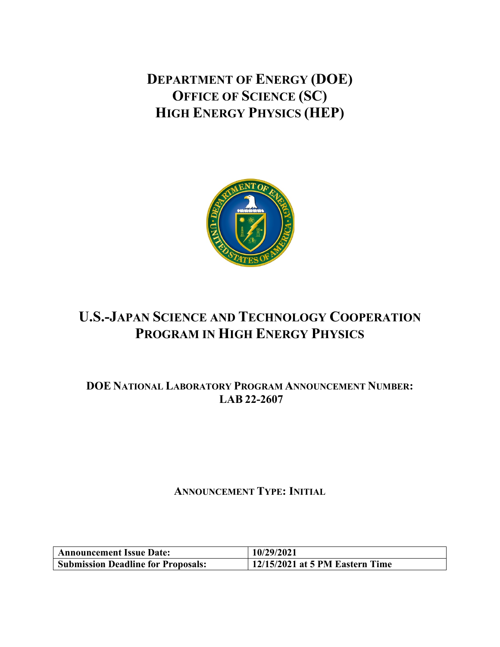**DEPARTMENT OF ENERGY (DOE) OFFICE OF SCIENCE (SC) HIGH ENERGY PHYSICS (HEP)**



# **U.S.-JAPAN SCIENCE AND TECHNOLOGY COOPERATION PROGRAM IN HIGH ENERGY PHYSICS**

# **DOE NATIONAL LABORATORY PROGRAM ANNOUNCEMENT NUMBER: LAB 22-2607**

# **ANNOUNCEMENT TYPE: INITIAL**

| <b>Announcement Issue Date:</b>           | 10/29/2021                      |  |
|-------------------------------------------|---------------------------------|--|
| <b>Submission Deadline for Proposals:</b> | 12/15/2021 at 5 PM Eastern Time |  |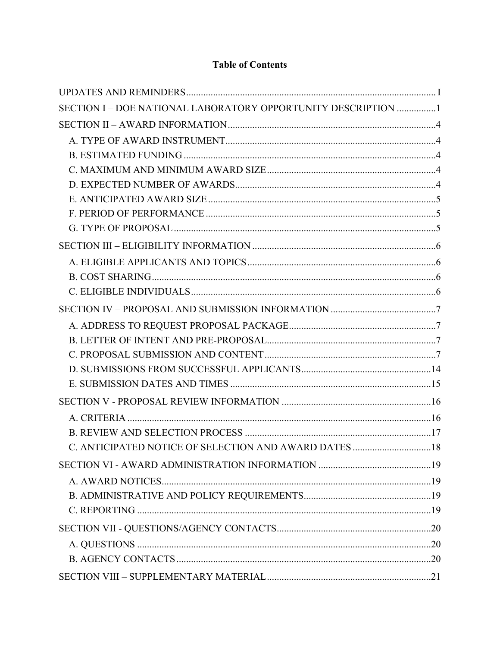# **Table of Contents**

| SECTION I - DOE NATIONAL LABORATORY OPPORTUNITY DESCRIPTION 1 |  |
|---------------------------------------------------------------|--|
|                                                               |  |
|                                                               |  |
|                                                               |  |
|                                                               |  |
|                                                               |  |
|                                                               |  |
|                                                               |  |
|                                                               |  |
|                                                               |  |
|                                                               |  |
|                                                               |  |
|                                                               |  |
|                                                               |  |
|                                                               |  |
|                                                               |  |
|                                                               |  |
|                                                               |  |
|                                                               |  |
|                                                               |  |
|                                                               |  |
|                                                               |  |
|                                                               |  |
|                                                               |  |
|                                                               |  |
|                                                               |  |
|                                                               |  |
|                                                               |  |
|                                                               |  |
|                                                               |  |
|                                                               |  |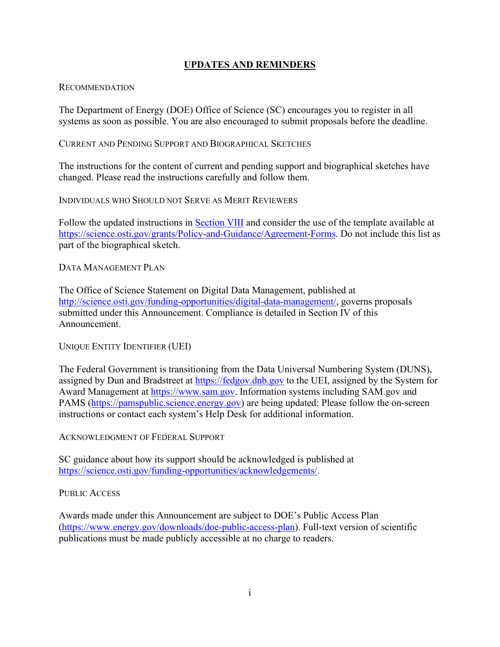## **UPDATES AND REMINDERS**

#### <span id="page-3-0"></span>**RECOMMENDATION**

The Department of Energy (DOE) Office of Science (SC) encourages you to register in all systems as soon as possible. You are also encouraged to submit proposals before the deadline.

#### CURRENT AND PENDING SUPPORT AND BIOGRAPHICAL SKETCHES

The instructions for the content of current and pending support and biographical sketches have changed. Please read the instructions carefully and follow them.

INDIVIDUALS WHO SHOULD NOT SERVE AS MERIT REVIEWERS

Follow the updated instructions in **Section VIII** and consider the use of the template available at [https://science.osti.gov/grants/Policy-and-Guidance/Agreement-Forms.](https://science.osti.gov/grants/Policy-and-Guidance/Agreement-Forms) Do not include this list as part of the biographical sketch.

#### DATA MANAGEMENT PLAN

The Office of Science Statement on Digital Data Management, published at [http://science.osti.gov/funding-opportunities/digital-data-management/,](http://science.osti.gov/funding-opportunities/digital-data-management/) governs proposals submitted under this Announcement. Compliance is detailed in Section IV of this Announcement.

#### UNIQUE ENTITY IDENTIFIER (UEI)

The Federal Government is transitioning from the Data Universal Numbering System (DUNS), assigned by Dun and Bradstreet at [https://fedgov.dnb.gov](https://fedgov.dnb.gov/) to the UEI, assigned by the System for Award Management at [https://www.sam.gov.](https://www.sam.gov/) Information systems including SAM.gov and PAMS [\(https://pamspublic.science.energy.gov\)](https://pamspublic.science.energy.gov/) are being updated: Please follow the on-screen instructions or contact each system's Help Desk for additional information.

ACKNOWLEDGMENT OF FEDERAL SUPPORT

SC guidance about how its support should be acknowledged is published at [https://science.osti.gov/funding-opportunities/acknowledgements/.](https://science.osti.gov/funding-opportunities/acknowledgements/)

#### PUBLIC ACCESS

Awards made under this Announcement are subject to DOE's Public Access Plan [\(https://www.energy.gov/downloads/doe-public-access-plan\)](https://www.energy.gov/downloads/doe-public-access-plan). Full-text version of scientific publications must be made publicly accessible at no charge to readers.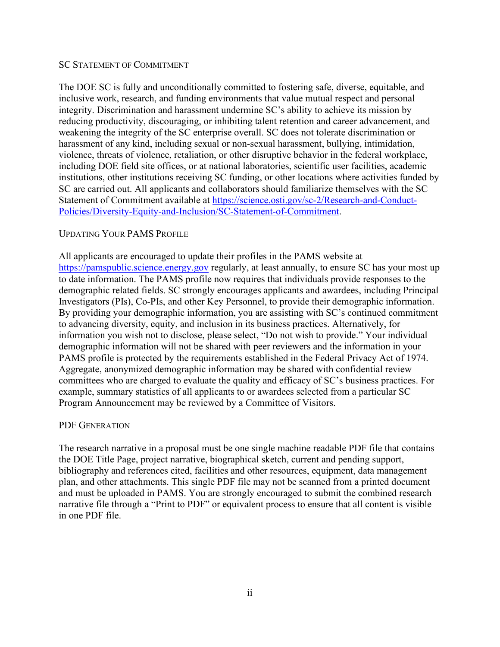#### SC STATEMENT OF COMMITMENT

The DOE SC is fully and unconditionally committed to fostering safe, diverse, equitable, and inclusive work, research, and funding environments that value mutual respect and personal integrity. Discrimination and harassment undermine SC's ability to achieve its mission by reducing productivity, discouraging, or inhibiting talent retention and career advancement, and weakening the integrity of the SC enterprise overall. SC does not tolerate discrimination or harassment of any kind, including sexual or non-sexual harassment, bullying, intimidation, violence, threats of violence, retaliation, or other disruptive behavior in the federal workplace, including DOE field site offices, or at national laboratories, scientific user facilities, academic institutions, other institutions receiving SC funding, or other locations where activities funded by SC are carried out. All applicants and collaborators should familiarize themselves with the SC Statement of Commitment available at [https://science.osti.gov/sc-2/Research-and-Conduct-](https://science.osti.gov/sc-2/Research-and-Conduct-Policies/Diversity-Equity-and-Inclusion/SC-Statement-of-Commitment)[Policies/Diversity-Equity-and-Inclusion/SC-Statement-of-Commitment.](https://science.osti.gov/sc-2/Research-and-Conduct-Policies/Diversity-Equity-and-Inclusion/SC-Statement-of-Commitment)

#### UPDATING YOUR PAMS PROFILE

All applicants are encouraged to update their profiles in the PAMS website at [https://pamspublic.science.energy.gov](https://pamspublic.science.energy.gov/) regularly, at least annually, to ensure SC has your most up to date information. The PAMS profile now requires that individuals provide responses to the demographic related fields. SC strongly encourages applicants and awardees, including Principal Investigators (PIs), Co-PIs, and other Key Personnel, to provide their demographic information. By providing your demographic information, you are assisting with SC's continued commitment to advancing diversity, equity, and inclusion in its business practices. Alternatively, for information you wish not to disclose, please select, "Do not wish to provide." Your individual demographic information will not be shared with peer reviewers and the information in your PAMS profile is protected by the requirements established in the Federal Privacy Act of 1974. Aggregate, anonymized demographic information may be shared with confidential review committees who are charged to evaluate the quality and efficacy of SC's business practices. For example, summary statistics of all applicants to or awardees selected from a particular SC Program Announcement may be reviewed by a Committee of Visitors.

#### PDF GENERATION

The research narrative in a proposal must be one single machine readable PDF file that contains the DOE Title Page, project narrative, biographical sketch, current and pending support, bibliography and references cited, facilities and other resources, equipment, data management plan, and other attachments. This single PDF file may not be scanned from a printed document and must be uploaded in PAMS. You are strongly encouraged to submit the combined research narrative file through a "Print to PDF" or equivalent process to ensure that all content is visible in one PDF file.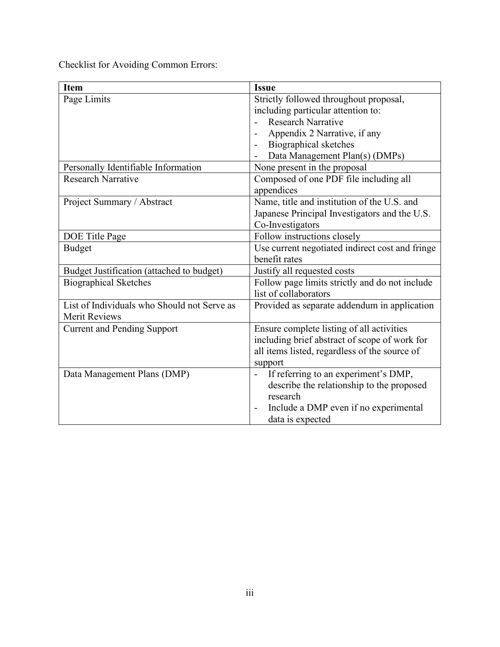Checklist for Avoiding Common Errors:

| <b>Item</b>                                 | <b>Issue</b>                                                      |
|---------------------------------------------|-------------------------------------------------------------------|
| Page Limits                                 | Strictly followed throughout proposal,                            |
|                                             | including particular attention to:                                |
|                                             | <b>Research Narrative</b>                                         |
|                                             | Appendix 2 Narrative, if any                                      |
|                                             | Biographical sketches                                             |
|                                             | Data Management Plan(s) (DMPs)                                    |
| Personally Identifiable Information         | None present in the proposal                                      |
| <b>Research Narrative</b>                   | Composed of one PDF file including all                            |
|                                             | appendices                                                        |
| Project Summary / Abstract                  | Name, title and institution of the U.S. and                       |
|                                             | Japanese Principal Investigators and the U.S.                     |
|                                             | Co-Investigators                                                  |
| DOE Title Page                              | Follow instructions closely                                       |
| <b>Budget</b>                               | Use current negotiated indirect cost and fringe                   |
|                                             | benefit rates                                                     |
| Budget Justification (attached to budget)   | Justify all requested costs                                       |
| <b>Biographical Sketches</b>                | Follow page limits strictly and do not include                    |
|                                             | list of collaborators                                             |
| List of Individuals who Should not Serve as | Provided as separate addendum in application                      |
| <b>Merit Reviews</b>                        |                                                                   |
| <b>Current and Pending Support</b>          | Ensure complete listing of all activities                         |
|                                             | including brief abstract of scope of work for                     |
|                                             | all items listed, regardless of the source of                     |
|                                             | support                                                           |
| Data Management Plans (DMP)                 | If referring to an experiment's DMP,<br>$\blacksquare$            |
|                                             | describe the relationship to the proposed                         |
|                                             | research                                                          |
|                                             | Include a DMP even if no experimental<br>$\overline{\phantom{a}}$ |
|                                             | data is expected                                                  |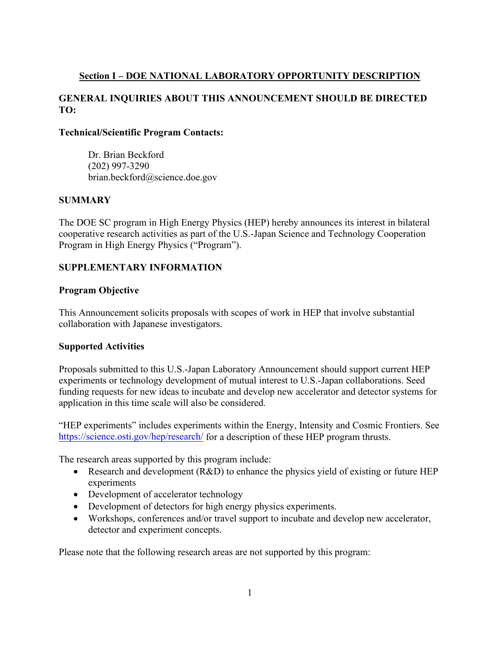# <span id="page-6-0"></span>**Section I – DOE NATIONAL LABORATORY OPPORTUNITY DESCRIPTION**

# **GENERAL INQUIRIES ABOUT THIS ANNOUNCEMENT SHOULD BE DIRECTED TO:**

#### **Technical/Scientific Program Contacts:**

Dr. Brian Beckford (202) 997-3290 brian.beckford@science.doe.gov

## **SUMMARY**

The DOE SC program in High Energy Physics (HEP) hereby announces its interest in bilateral cooperative research activities as part of the U.S.-Japan Science and Technology Cooperation Program in High Energy Physics ("Program").

#### **SUPPLEMENTARY INFORMATION**

#### **Program Objective**

This Announcement solicits proposals with scopes of work in HEP that involve substantial collaboration with Japanese investigators.

#### **Supported Activities**

Proposals submitted to this U.S.-Japan Laboratory Announcement should support current HEP experiments or technology development of mutual interest to U.S.-Japan collaborations. Seed funding requests for new ideas to incubate and develop new accelerator and detector systems for application in this time scale will also be considered.

"HEP experiments" includes experiments within the Energy, Intensity and Cosmic Frontiers. See <https://science.osti.gov/hep/research/> for a description of these HEP program thrusts.

The research areas supported by this program include:

- Research and development  $(R&D)$  to enhance the physics yield of existing or future HEP experiments
- Development of accelerator technology
- Development of detectors for high energy physics experiments.
- Workshops, conferences and/or travel support to incubate and develop new accelerator, detector and experiment concepts.

Please note that the following research areas are not supported by this program: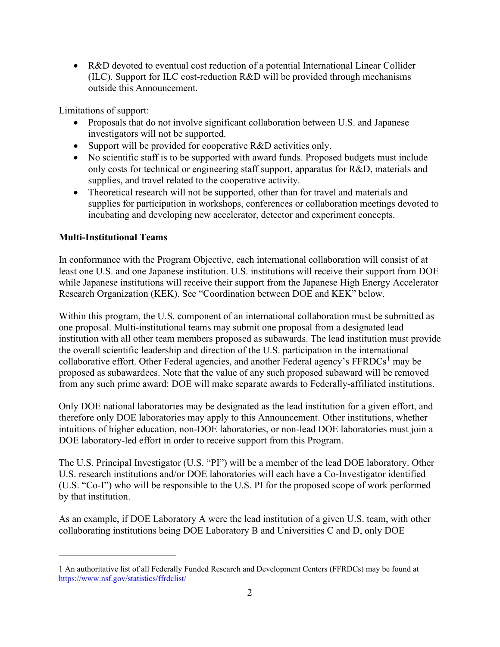• R&D devoted to eventual cost reduction of a potential International Linear Collider (ILC). Support for ILC cost-reduction R&D will be provided through mechanisms outside this Announcement.

Limitations of support:

- Proposals that do not involve significant collaboration between U.S. and Japanese investigators will not be supported.
- Support will be provided for cooperative R&D activities only.
- No scientific staff is to be supported with award funds. Proposed budgets must include only costs for technical or engineering staff support, apparatus for R&D, materials and supplies, and travel related to the cooperative activity.
- Theoretical research will not be supported, other than for travel and materials and supplies for participation in workshops, conferences or collaboration meetings devoted to incubating and developing new accelerator, detector and experiment concepts.

#### **Multi-Institutional Teams**

In conformance with the Program Objective, each international collaboration will consist of at least one U.S. and one Japanese institution. U.S. institutions will receive their support from DOE while Japanese institutions will receive their support from the Japanese High Energy Accelerator Research Organization (KEK). See "Coordination between DOE and KEK" below.

Within this program, the U.S. component of an international collaboration must be submitted as one proposal. Multi-institutional teams may submit one proposal from a designated lead institution with all other team members proposed as subawards. The lead institution must provide the overall scientific leadership and direction of the U.S. participation in the international collaborative effort. Other Federal agencies, and another Federal agency's  $FFRDCs<sup>1</sup>$  $FFRDCs<sup>1</sup>$  $FFRDCs<sup>1</sup>$  may be proposed as subawardees. Note that the value of any such proposed subaward will be removed from any such prime award: DOE will make separate awards to Federally-affiliated institutions.

Only DOE national laboratories may be designated as the lead institution for a given effort, and therefore only DOE laboratories may apply to this Announcement. Other institutions, whether intuitions of higher education, non-DOE laboratories, or non-lead DOE laboratories must join a DOE laboratory-led effort in order to receive support from this Program.

The U.S. Principal Investigator (U.S. "PI") will be a member of the lead DOE laboratory. Other U.S. research institutions and/or DOE laboratories will each have a Co-Investigator identified (U.S. "Co-I") who will be responsible to the U.S. PI for the proposed scope of work performed by that institution.

As an example, if DOE Laboratory A were the lead institution of a given U.S. team, with other collaborating institutions being DOE Laboratory B and Universities C and D, only DOE

<span id="page-7-0"></span><sup>1</sup> An authoritative list of all Federally Funded Research and Development Centers (FFRDCs) may be found at <https://www.nsf.gov/statistics/ffrdclist/>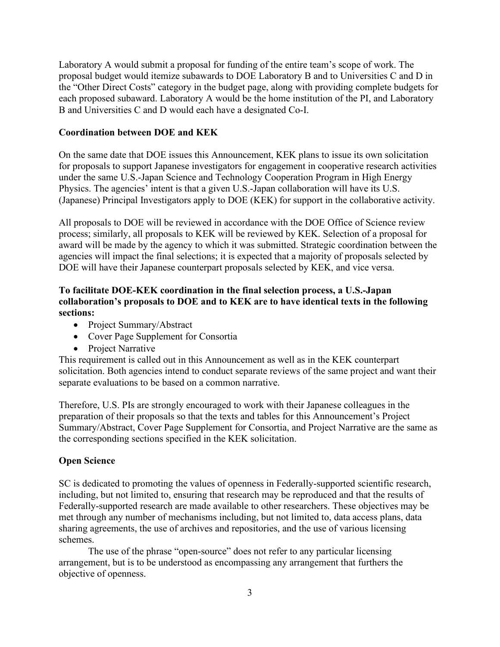Laboratory A would submit a proposal for funding of the entire team's scope of work. The proposal budget would itemize subawards to DOE Laboratory B and to Universities C and D in the "Other Direct Costs" category in the budget page, along with providing complete budgets for each proposed subaward. Laboratory A would be the home institution of the PI, and Laboratory B and Universities C and D would each have a designated Co-I.

#### **Coordination between DOE and KEK**

On the same date that DOE issues this Announcement, KEK plans to issue its own solicitation for proposals to support Japanese investigators for engagement in cooperative research activities under the same U.S.-Japan Science and Technology Cooperation Program in High Energy Physics. The agencies' intent is that a given U.S.-Japan collaboration will have its U.S. (Japanese) Principal Investigators apply to DOE (KEK) for support in the collaborative activity.

All proposals to DOE will be reviewed in accordance with the DOE Office of Science review process; similarly, all proposals to KEK will be reviewed by KEK. Selection of a proposal for award will be made by the agency to which it was submitted. Strategic coordination between the agencies will impact the final selections; it is expected that a majority of proposals selected by DOE will have their Japanese counterpart proposals selected by KEK, and vice versa.

## **To facilitate DOE-KEK coordination in the final selection process, a U.S.-Japan collaboration's proposals to DOE and to KEK are to have identical texts in the following sections:**

- Project Summary/Abstract
- Cover Page Supplement for Consortia
- Project Narrative

This requirement is called out in this Announcement as well as in the KEK counterpart solicitation. Both agencies intend to conduct separate reviews of the same project and want their separate evaluations to be based on a common narrative.

Therefore, U.S. PIs are strongly encouraged to work with their Japanese colleagues in the preparation of their proposals so that the texts and tables for this Announcement's Project Summary/Abstract, Cover Page Supplement for Consortia, and Project Narrative are the same as the corresponding sections specified in the KEK solicitation.

#### **Open Science**

SC is dedicated to promoting the values of openness in Federally-supported scientific research, including, but not limited to, ensuring that research may be reproduced and that the results of Federally-supported research are made available to other researchers. These objectives may be met through any number of mechanisms including, but not limited to, data access plans, data sharing agreements, the use of archives and repositories, and the use of various licensing schemes.

The use of the phrase "open-source" does not refer to any particular licensing arrangement, but is to be understood as encompassing any arrangement that furthers the objective of openness.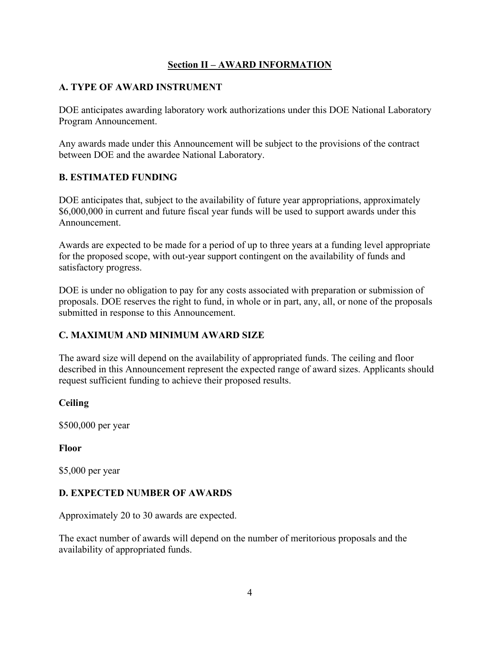## **Section II – AWARD INFORMATION**

## <span id="page-9-1"></span><span id="page-9-0"></span>**A. TYPE OF AWARD INSTRUMENT**

DOE anticipates awarding laboratory work authorizations under this DOE National Laboratory Program Announcement.

Any awards made under this Announcement will be subject to the provisions of the contract between DOE and the awardee National Laboratory.

# <span id="page-9-2"></span>**B. ESTIMATED FUNDING**

DOE anticipates that, subject to the availability of future year appropriations, approximately \$6,000,000 in current and future fiscal year funds will be used to support awards under this Announcement.

Awards are expected to be made for a period of up to three years at a funding level appropriate for the proposed scope, with out-year support contingent on the availability of funds and satisfactory progress.

DOE is under no obligation to pay for any costs associated with preparation or submission of proposals. DOE reserves the right to fund, in whole or in part, any, all, or none of the proposals submitted in response to this Announcement.

# <span id="page-9-3"></span>**C. MAXIMUM AND MINIMUM AWARD SIZE**

The award size will depend on the availability of appropriated funds. The ceiling and floor described in this Announcement represent the expected range of award sizes. Applicants should request sufficient funding to achieve their proposed results.

## **Ceiling**

\$500,000 per year

## **Floor**

\$5,000 per year

## <span id="page-9-4"></span>**D. EXPECTED NUMBER OF AWARDS**

Approximately 20 to 30 awards are expected.

The exact number of awards will depend on the number of meritorious proposals and the availability of appropriated funds.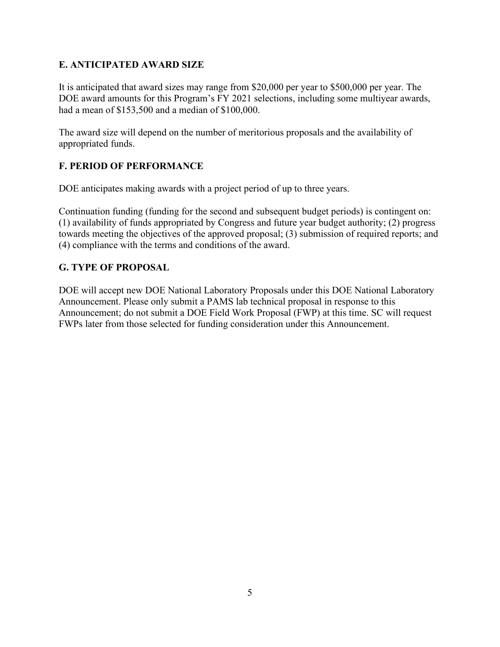# <span id="page-10-0"></span>**E. ANTICIPATED AWARD SIZE**

It is anticipated that award sizes may range from \$20,000 per year to \$500,000 per year. The DOE award amounts for this Program's FY 2021 selections, including some multiyear awards, had a mean of \$153,500 and a median of \$100,000.

The award size will depend on the number of meritorious proposals and the availability of appropriated funds.

# <span id="page-10-1"></span>**F. PERIOD OF PERFORMANCE**

DOE anticipates making awards with a project period of up to three years.

Continuation funding (funding for the second and subsequent budget periods) is contingent on: (1) availability of funds appropriated by Congress and future year budget authority; (2) progress towards meeting the objectives of the approved proposal; (3) submission of required reports; and (4) compliance with the terms and conditions of the award.

# <span id="page-10-2"></span>**G. TYPE OF PROPOSAL**

DOE will accept new DOE National Laboratory Proposals under this DOE National Laboratory Announcement. Please only submit a PAMS lab technical proposal in response to this Announcement; do not submit a DOE Field Work Proposal (FWP) at this time. SC will request FWPs later from those selected for funding consideration under this Announcement.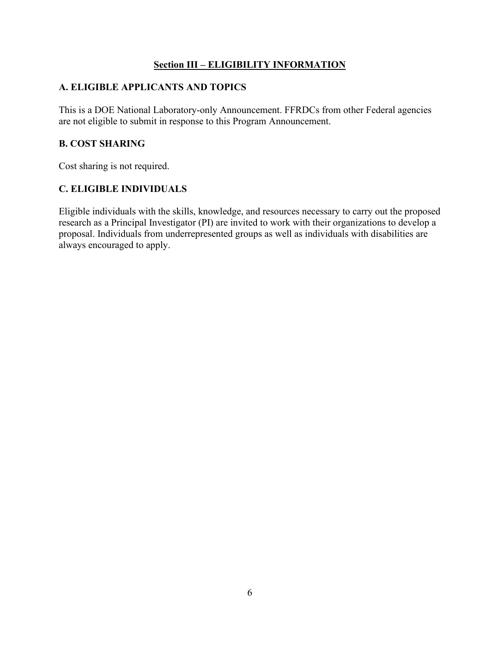## **Section III – ELIGIBILITY INFORMATION**

# <span id="page-11-1"></span><span id="page-11-0"></span>**A. ELIGIBLE APPLICANTS AND TOPICS**

This is a DOE National Laboratory-only Announcement. FFRDCs from other Federal agencies are not eligible to submit in response to this Program Announcement.

## <span id="page-11-2"></span>**B. COST SHARING**

Cost sharing is not required.

# <span id="page-11-3"></span>**C. ELIGIBLE INDIVIDUALS**

Eligible individuals with the skills, knowledge, and resources necessary to carry out the proposed research as a Principal Investigator (PI) are invited to work with their organizations to develop a proposal. Individuals from underrepresented groups as well as individuals with disabilities are always encouraged to apply.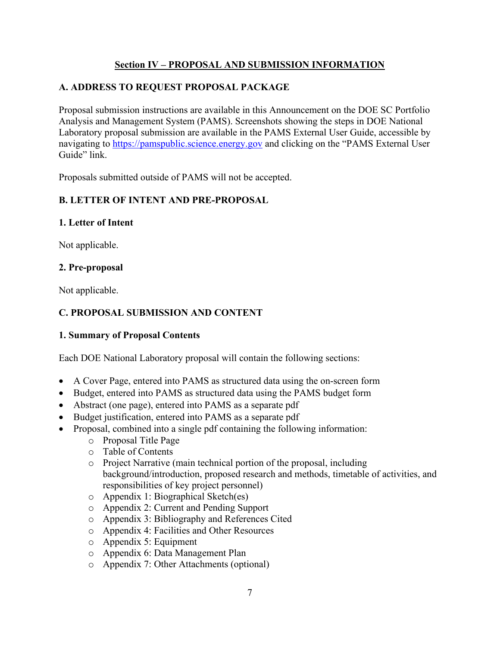# **Section IV – PROPOSAL AND SUBMISSION INFORMATION**

# <span id="page-12-1"></span><span id="page-12-0"></span>**A. ADDRESS TO REQUEST PROPOSAL PACKAGE**

Proposal submission instructions are available in this Announcement on the DOE SC Portfolio Analysis and Management System (PAMS). Screenshots showing the steps in DOE National Laboratory proposal submission are available in the PAMS External User Guide, accessible by navigating to [https://pamspublic.science.energy.gov](https://pamspublic.science.energy.gov/) and clicking on the "PAMS External User Guide" link.

Proposals submitted outside of PAMS will not be accepted.

# <span id="page-12-2"></span>**B. LETTER OF INTENT AND PRE-PROPOSAL**

#### **1. Letter of Intent**

Not applicable.

#### **2. Pre-proposal**

Not applicable.

# <span id="page-12-3"></span>**C. PROPOSAL SUBMISSION AND CONTENT**

## **1. Summary of Proposal Contents**

Each DOE National Laboratory proposal will contain the following sections:

- A Cover Page, entered into PAMS as structured data using the on-screen form
- Budget, entered into PAMS as structured data using the PAMS budget form
- Abstract (one page), entered into PAMS as a separate pdf
- Budget justification, entered into PAMS as a separate pdf
	- Proposal, combined into a single pdf containing the following information:
		- o Proposal Title Page
		- o Table of Contents
		- o Project Narrative (main technical portion of the proposal, including background/introduction, proposed research and methods, timetable of activities, and responsibilities of key project personnel)
		- o Appendix 1: Biographical Sketch(es)
		- o Appendix 2: Current and Pending Support
		- o Appendix 3: Bibliography and References Cited
		- o Appendix 4: Facilities and Other Resources
		- o Appendix 5: Equipment
		- o Appendix 6: Data Management Plan
		- o Appendix 7: Other Attachments (optional)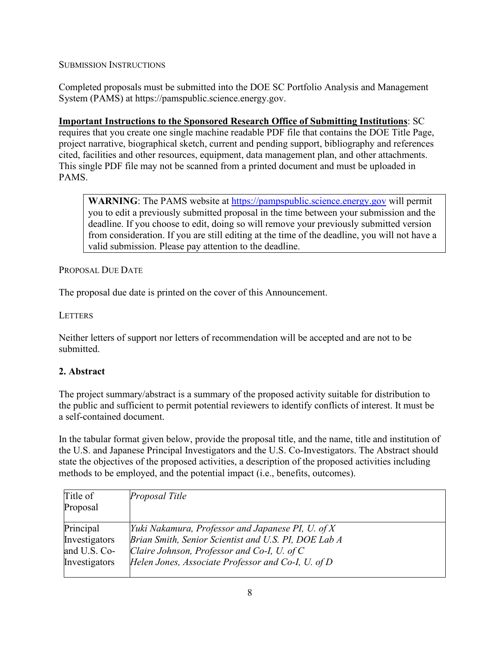SUBMISSION INSTRUCTIONS

Completed proposals must be submitted into the DOE SC Portfolio Analysis and Management System (PAMS) at https://pamspublic.science.energy.gov.

**Important Instructions to the Sponsored Research Office of Submitting Institutions**: SC requires that you create one single machine readable PDF file that contains the DOE Title Page, project narrative, biographical sketch, current and pending support, bibliography and references cited, facilities and other resources, equipment, data management plan, and other attachments. This single PDF file may not be scanned from a printed document and must be uploaded in PAMS.

**WARNING**: The PAMS website at [https://pampspublic.science.energy.gov](https://pampspublic.science.energy.gov/) will permit you to edit a previously submitted proposal in the time between your submission and the deadline. If you choose to edit, doing so will remove your previously submitted version from consideration. If you are still editing at the time of the deadline, you will not have a valid submission. Please pay attention to the deadline.

PROPOSAL DUE DATE

The proposal due date is printed on the cover of this Announcement.

**LETTERS** 

Neither letters of support nor letters of recommendation will be accepted and are not to be submitted.

## **2. Abstract**

The project summary/abstract is a summary of the proposed activity suitable for distribution to the public and sufficient to permit potential reviewers to identify conflicts of interest. It must be a self-contained document.

In the tabular format given below, provide the proposal title, and the name, title and institution of the U.S. and Japanese Principal Investigators and the U.S. Co-Investigators. The Abstract should state the objectives of the proposed activities, a description of the proposed activities including methods to be employed, and the potential impact (i.e., benefits, outcomes).

| Title of      | Proposal Title                                       |
|---------------|------------------------------------------------------|
| Proposal      |                                                      |
| Principal     | Yuki Nakamura, Professor and Japanese PI, U. of X    |
| Investigators | Brian Smith, Senior Scientist and U.S. PI, DOE Lab A |
| and U.S. Co-  | Claire Johnson, Professor and Co-I, U. of C          |
| Investigators | Helen Jones, Associate Professor and Co-I, U. of D   |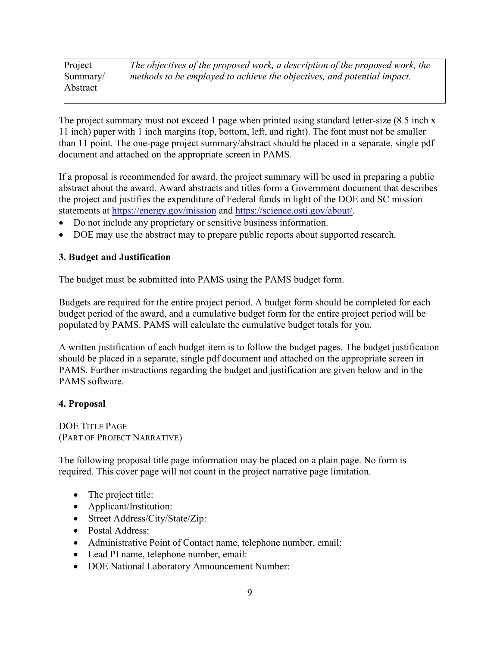| Project  | The objectives of the proposed work, a description of the proposed work, the |
|----------|------------------------------------------------------------------------------|
| Summary/ | methods to be employed to achieve the objectives, and potential impact.      |
| Abstract |                                                                              |
|          |                                                                              |

The project summary must not exceed 1 page when printed using standard letter-size (8.5 inch x 11 inch) paper with 1 inch margins (top, bottom, left, and right). The font must not be smaller than 11 point. The one-page project summary/abstract should be placed in a separate, single pdf document and attached on the appropriate screen in PAMS.

If a proposal is recommended for award, the project summary will be used in preparing a public abstract about the award. Award abstracts and titles form a Government document that describes the project and justifies the expenditure of Federal funds in light of the DOE and SC mission statements at<https://energy.gov/mission> and [https://science.osti.gov/about/.](https://science.osti.gov/about/)

- Do not include any proprietary or sensitive business information.
- DOE may use the abstract may to prepare public reports about supported research.

#### **3. Budget and Justification**

The budget must be submitted into PAMS using the PAMS budget form.

Budgets are required for the entire project period. A budget form should be completed for each budget period of the award, and a cumulative budget form for the entire project period will be populated by PAMS. PAMS will calculate the cumulative budget totals for you.

A written justification of each budget item is to follow the budget pages. The budget justification should be placed in a separate, single pdf document and attached on the appropriate screen in PAMS. Further instructions regarding the budget and justification are given below and in the PAMS software.

#### **4. Proposal**

DOE TITLE PAGE (PART OF PROJECT NARRATIVE)

The following proposal title page information may be placed on a plain page. No form is required. This cover page will not count in the project narrative page limitation.

- The project title:
- Applicant/Institution:
- Street Address/City/State/Zip:
- Postal Address:
- Administrative Point of Contact name, telephone number, email:
- Lead PI name, telephone number, email:
- DOE National Laboratory Announcement Number: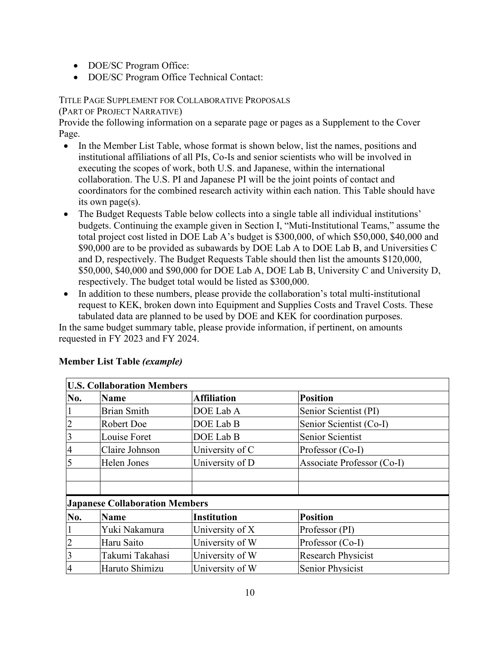- DOE/SC Program Office:
- DOE/SC Program Office Technical Contact:

#### TITLE PAGE SUPPLEMENT FOR COLLABORATIVE PROPOSALS

(PART OF PROJECT NARRATIVE)

Provide the following information on a separate page or pages as a Supplement to the Cover Page.

- In the Member List Table, whose format is shown below, list the names, positions and institutional affiliations of all PIs, Co-Is and senior scientists who will be involved in executing the scopes of work, both U.S. and Japanese, within the international collaboration. The U.S. PI and Japanese PI will be the joint points of contact and coordinators for the combined research activity within each nation. This Table should have its own page(s).
- The Budget Requests Table below collects into a single table all individual institutions' budgets. Continuing the example given in Section I, "Muti-Institutional Teams," assume the total project cost listed in DOE Lab A's budget is \$300,000, of which \$50,000, \$40,000 and \$90,000 are to be provided as subawards by DOE Lab A to DOE Lab B, and Universities C and D, respectively. The Budget Requests Table should then list the amounts \$120,000, \$50,000, \$40,000 and \$90,000 for DOE Lab A, DOE Lab B, University C and University D, respectively. The budget total would be listed as \$300,000.
- In addition to these numbers, please provide the collaboration's total multi-institutional request to KEK, broken down into Equipment and Supplies Costs and Travel Costs. These tabulated data are planned to be used by DOE and KEK for coordination purposes.

In the same budget summary table, please provide information, if pertinent, on amounts requested in FY 2023 and FY 2024.

| <b>U.S. Collaboration Members</b> |                                       |                    |                            |  |
|-----------------------------------|---------------------------------------|--------------------|----------------------------|--|
| No.                               | Name                                  | <b>Affiliation</b> | <b>Position</b>            |  |
|                                   | <b>Brian Smith</b>                    | DOE Lab A          | Senior Scientist (PI)      |  |
|                                   | Robert Doe                            | DOE Lab B          | Senior Scientist (Co-I)    |  |
| 3                                 | Louise Foret                          | DOE Lab B          | Senior Scientist           |  |
| $\overline{4}$                    | Claire Johnson                        | University of C    | Professor (Co-I)           |  |
|                                   | Helen Jones                           | University of D    | Associate Professor (Co-I) |  |
|                                   |                                       |                    |                            |  |
|                                   |                                       |                    |                            |  |
|                                   | <b>Japanese Collaboration Members</b> |                    |                            |  |
| No.                               | Name                                  | <b>Institution</b> | <b>Position</b>            |  |
|                                   | Yuki Nakamura                         | University of X    | Professor (PI)             |  |
| $\overline{2}$                    | Haru Saito                            | University of W    | Professor (Co-I)           |  |
| 3                                 | Takumi Takahasi                       | University of W    | <b>Research Physicist</b>  |  |
| 4                                 | Haruto Shimizu                        | University of W    | Senior Physicist           |  |

## **Member List Table** *(example)*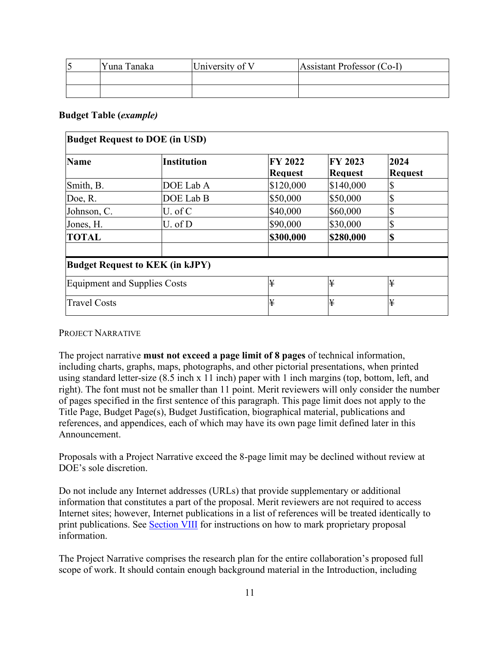| Yuna Tanaka | University of V | Assistant Professor (Co-I) |
|-------------|-----------------|----------------------------|
|             |                 |                            |
|             |                 |                            |

#### **Budget Table (***example)*

| <b>Budget Request to DOE (in USD)</b> |                                        |                           |                           |                        |
|---------------------------------------|----------------------------------------|---------------------------|---------------------------|------------------------|
| <b>Name</b>                           | <b>Institution</b>                     | FY 2022<br><b>Request</b> | FY 2023<br><b>Request</b> | 2024<br><b>Request</b> |
| Smith, B.                             | DOE Lab A                              | \$120,000                 | \$140,000                 | \$                     |
| Doe, R.                               | DOE Lab B                              | \$50,000                  | \$50,000                  | \$                     |
| Johnson, C.                           | U. of C                                | \$40,000                  | \$60,000                  | \$                     |
| Jones, H.                             | U. of D                                | \$90,000                  | \$30,000                  | \$                     |
| <b>TOTAL</b>                          |                                        | \$300,000                 | \$280,000                 | \$                     |
|                                       | <b>Budget Request to KEK (in kJPY)</b> |                           |                           |                        |
| <b>Equipment and Supplies Costs</b>   |                                        | ¥                         | ¥                         | ¥                      |
| <b>Travel Costs</b>                   |                                        | ¥                         | ¥                         | ¥                      |

#### PROJECT NARRATIVE

The project narrative **must not exceed a page limit of 8 pages** of technical information, including charts, graphs, maps, photographs, and other pictorial presentations, when printed using standard letter-size (8.5 inch x 11 inch) paper with 1 inch margins (top, bottom, left, and right). The font must not be smaller than 11 point. Merit reviewers will only consider the number of pages specified in the first sentence of this paragraph. This page limit does not apply to the Title Page, Budget Page(s), Budget Justification, biographical material, publications and references, and appendices, each of which may have its own page limit defined later in this Announcement.

Proposals with a Project Narrative exceed the 8-page limit may be declined without review at DOE's sole discretion.

Do not include any Internet addresses (URLs) that provide supplementary or additional information that constitutes a part of the proposal. Merit reviewers are not required to access Internet sites; however, Internet publications in a list of references will be treated identically to print publications. See [Section VIII](#page-41-0) for instructions on how to mark proprietary proposal information.

The Project Narrative comprises the research plan for the entire collaboration's proposed full scope of work. It should contain enough background material in the Introduction, including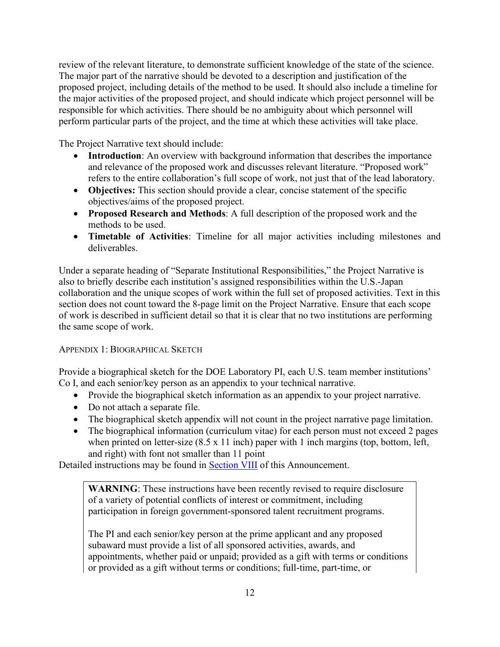review of the relevant literature, to demonstrate sufficient knowledge of the state of the science. The major part of the narrative should be devoted to a description and justification of the proposed project, including details of the method to be used. It should also include a timeline for the major activities of the proposed project, and should indicate which project personnel will be responsible for which activities. There should be no ambiguity about which personnel will perform particular parts of the project, and the time at which these activities will take place.

The Project Narrative text should include:

- **Introduction**: An overview with background information that describes the importance and relevance of the proposed work and discusses relevant literature. "Proposed work" refers to the entire collaboration's full scope of work, not just that of the lead laboratory.
- **Objectives:** This section should provide a clear, concise statement of the specific objectives/aims of the proposed project.
- **Proposed Research and Methods**: A full description of the proposed work and the methods to be used.
- **Timetable of Activities**: Timeline for all major activities including milestones and deliverables.

Under a separate heading of "Separate Institutional Responsibilities," the Project Narrative is also to briefly describe each institution's assigned responsibilities within the U.S.-Japan collaboration and the unique scopes of work within the full set of proposed activities. Text in this section does not count toward the 8-page limit on the Project Narrative. Ensure that each scope of work is described in sufficient detail so that it is clear that no two institutions are performing the same scope of work.

APPENDIX 1: BIOGRAPHICAL SKETCH

Provide a biographical sketch for the DOE Laboratory PI, each U.S. team member institutions' Co I, and each senior/key person as an appendix to your technical narrative.

- Provide the biographical sketch information as an appendix to your project narrative.
- Do not attach a separate file.
- The biographical sketch appendix will not count in the project narrative page limitation.
- The biographical information (curriculum vitae) for each person must not exceed 2 pages when printed on letter-size  $(8.5 \times 11 \text{ inch})$  paper with 1 inch margins (top, bottom, left, and right) with font not smaller than 11 point

Detailed instructions may be found in **Section VIII** of this Announcement.

**WARNING**: These instructions have been recently revised to require disclosure of a variety of potential conflicts of interest or commitment, including participation in foreign government-sponsored talent recruitment programs.

The PI and each senior/key person at the prime applicant and any proposed subaward must provide a list of all sponsored activities, awards, and appointments, whether paid or unpaid; provided as a gift with terms or conditions or provided as a gift without terms or conditions; full-time, part-time, or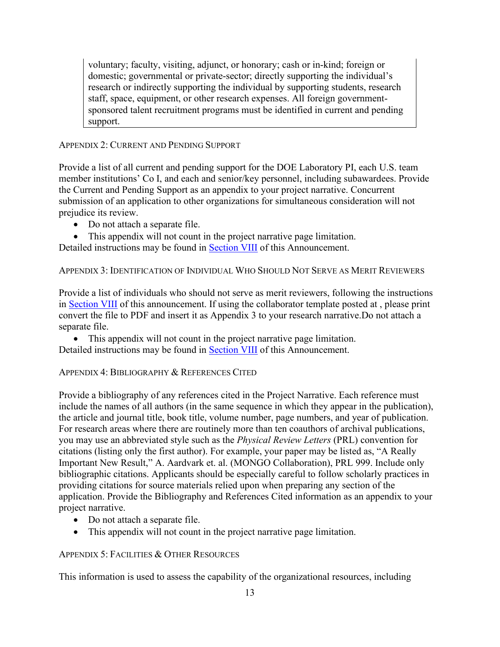voluntary; faculty, visiting, adjunct, or honorary; cash or in-kind; foreign or domestic; governmental or private-sector; directly supporting the individual's research or indirectly supporting the individual by supporting students, research staff, space, equipment, or other research expenses. All foreign governmentsponsored talent recruitment programs must be identified in current and pending support.

#### APPENDIX 2: CURRENT AND PENDING SUPPORT

Provide a list of all current and pending support for the DOE Laboratory PI, each U.S. team member institutions' Co I, and each and senior/key personnel, including subawardees. Provide the Current and Pending Support as an appendix to your project narrative. Concurrent submission of an application to other organizations for simultaneous consideration will not prejudice its review.

- Do not attach a separate file.
- This appendix will not count in the project narrative page limitation.

Detailed instructions may be found in Section VIII of this Announcement.

APPENDIX 3: IDENTIFICATION OF INDIVIDUAL WHO SHOULD NOT SERVE AS MERIT REVIEWERS

Provide a list of individuals who should not serve as merit reviewers, following the instructions in [Section VIII](#page-32-0) of this announcement. If using the collaborator template posted at , please print convert the file to PDF and insert it as Appendix 3 to your research narrative.Do not attach a separate file.

• This appendix will not count in the project narrative page limitation. Detailed instructions may be found in [Section VIII](#page-32-0) of this Announcement.

#### APPENDIX 4: BIBLIOGRAPHY & REFERENCES CITED

Provide a bibliography of any references cited in the Project Narrative. Each reference must include the names of all authors (in the same sequence in which they appear in the publication), the article and journal title, book title, volume number, page numbers, and year of publication. For research areas where there are routinely more than ten coauthors of archival publications, you may use an abbreviated style such as the *Physical Review Letters* (PRL) convention for citations (listing only the first author). For example, your paper may be listed as, "A Really Important New Result," A. Aardvark et. al. (MONGO Collaboration), PRL 999. Include only bibliographic citations. Applicants should be especially careful to follow scholarly practices in providing citations for source materials relied upon when preparing any section of the application. Provide the Bibliography and References Cited information as an appendix to your project narrative.

- Do not attach a separate file.
- This appendix will not count in the project narrative page limitation.

#### APPENDIX 5: FACILITIES & OTHER RESOURCES

This information is used to assess the capability of the organizational resources, including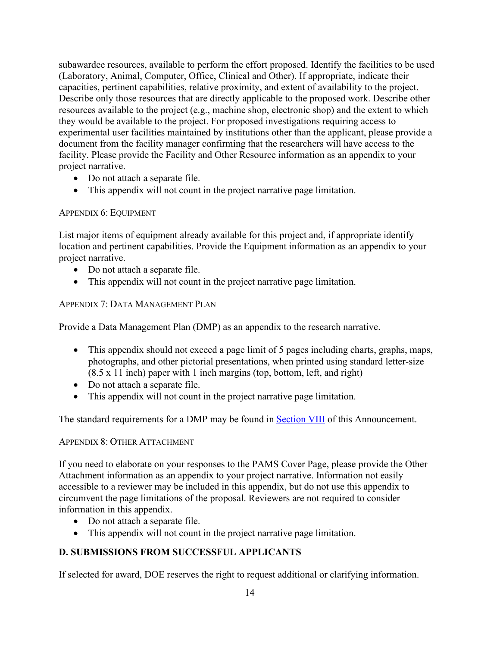subawardee resources, available to perform the effort proposed. Identify the facilities to be used (Laboratory, Animal, Computer, Office, Clinical and Other). If appropriate, indicate their capacities, pertinent capabilities, relative proximity, and extent of availability to the project. Describe only those resources that are directly applicable to the proposed work. Describe other resources available to the project (e.g., machine shop, electronic shop) and the extent to which they would be available to the project. For proposed investigations requiring access to experimental user facilities maintained by institutions other than the applicant, please provide a document from the facility manager confirming that the researchers will have access to the facility. Please provide the Facility and Other Resource information as an appendix to your project narrative.

- Do not attach a separate file.
- This appendix will not count in the project narrative page limitation.

#### APPENDIX 6: EQUIPMENT

List major items of equipment already available for this project and, if appropriate identify location and pertinent capabilities. Provide the Equipment information as an appendix to your project narrative.

- Do not attach a separate file.
- This appendix will not count in the project narrative page limitation.

## APPENDIX 7: DATA MANAGEMENT PLAN

Provide a Data Management Plan (DMP) as an appendix to the research narrative.

- This appendix should not exceed a page limit of 5 pages including charts, graphs, maps, photographs, and other pictorial presentations, when printed using standard letter-size (8.5 x 11 inch) paper with 1 inch margins (top, bottom, left, and right)
- Do not attach a separate file.
- This appendix will not count in the project narrative page limitation.

The standard requirements for a DMP may be found in Section VIII of this Announcement.

## APPENDIX 8: OTHER ATTACHMENT

If you need to elaborate on your responses to the PAMS Cover Page, please provide the Other Attachment information as an appendix to your project narrative. Information not easily accessible to a reviewer may be included in this appendix, but do not use this appendix to circumvent the page limitations of the proposal. Reviewers are not required to consider information in this appendix.

- Do not attach a separate file.
- This appendix will not count in the project narrative page limitation.

## <span id="page-19-0"></span>**D. SUBMISSIONS FROM SUCCESSFUL APPLICANTS**

If selected for award, DOE reserves the right to request additional or clarifying information.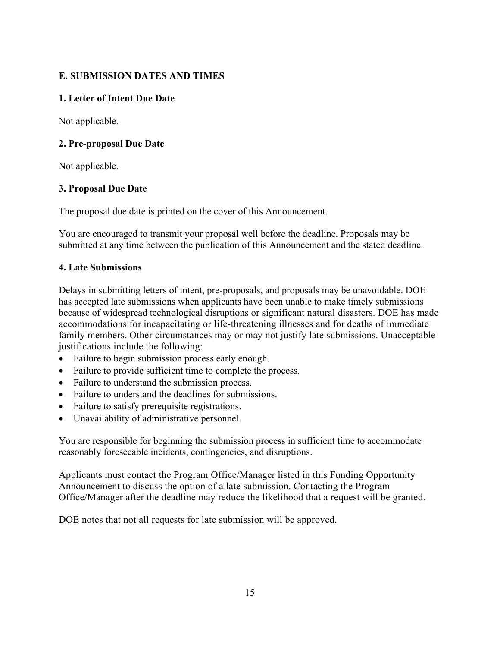# <span id="page-20-0"></span>**E. SUBMISSION DATES AND TIMES**

## **1. Letter of Intent Due Date**

Not applicable.

## **2. Pre-proposal Due Date**

Not applicable.

#### **3. Proposal Due Date**

The proposal due date is printed on the cover of this Announcement.

You are encouraged to transmit your proposal well before the deadline. Proposals may be submitted at any time between the publication of this Announcement and the stated deadline.

#### **4. Late Submissions**

Delays in submitting letters of intent, pre-proposals, and proposals may be unavoidable. DOE has accepted late submissions when applicants have been unable to make timely submissions because of widespread technological disruptions or significant natural disasters. DOE has made accommodations for incapacitating or life-threatening illnesses and for deaths of immediate family members. Other circumstances may or may not justify late submissions. Unacceptable justifications include the following:

- Failure to begin submission process early enough.
- Failure to provide sufficient time to complete the process.
- Failure to understand the submission process.
- Failure to understand the deadlines for submissions.
- Failure to satisfy prerequisite registrations.
- Unavailability of administrative personnel.

You are responsible for beginning the submission process in sufficient time to accommodate reasonably foreseeable incidents, contingencies, and disruptions.

Applicants must contact the Program Office/Manager listed in this Funding Opportunity Announcement to discuss the option of a late submission. Contacting the Program Office/Manager after the deadline may reduce the likelihood that a request will be granted.

DOE notes that not all requests for late submission will be approved.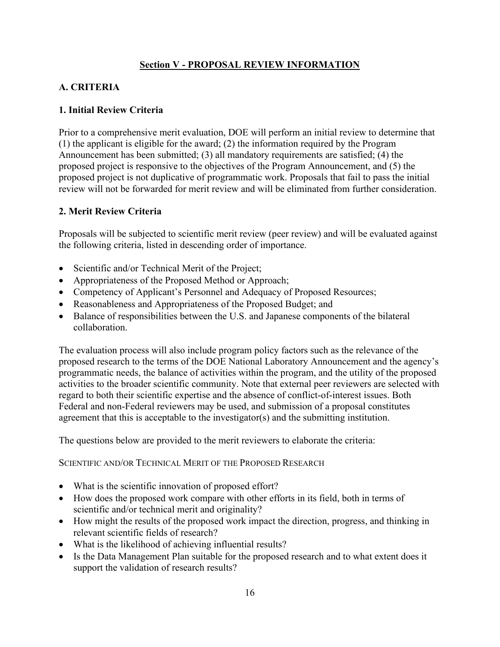# **Section V - PROPOSAL REVIEW INFORMATION**

# <span id="page-21-1"></span><span id="page-21-0"></span>**A. CRITERIA**

## **1. Initial Review Criteria**

Prior to a comprehensive merit evaluation, DOE will perform an initial review to determine that (1) the applicant is eligible for the award; (2) the information required by the Program Announcement has been submitted; (3) all mandatory requirements are satisfied; (4) the proposed project is responsive to the objectives of the Program Announcement, and (5) the proposed project is not duplicative of programmatic work. Proposals that fail to pass the initial review will not be forwarded for merit review and will be eliminated from further consideration.

#### **2. Merit Review Criteria**

Proposals will be subjected to scientific merit review (peer review) and will be evaluated against the following criteria, listed in descending order of importance.

- Scientific and/or Technical Merit of the Project;
- Appropriateness of the Proposed Method or Approach;
- Competency of Applicant's Personnel and Adequacy of Proposed Resources;
- Reasonableness and Appropriateness of the Proposed Budget; and
- Balance of responsibilities between the U.S. and Japanese components of the bilateral collaboration.

The evaluation process will also include program policy factors such as the relevance of the proposed research to the terms of the DOE National Laboratory Announcement and the agency's programmatic needs, the balance of activities within the program, and the utility of the proposed activities to the broader scientific community. Note that external peer reviewers are selected with regard to both their scientific expertise and the absence of conflict-of-interest issues. Both Federal and non-Federal reviewers may be used, and submission of a proposal constitutes agreement that this is acceptable to the investigator(s) and the submitting institution.

The questions below are provided to the merit reviewers to elaborate the criteria:

SCIENTIFIC AND/OR TECHNICAL MERIT OF THE PROPOSED RESEARCH

- What is the scientific innovation of proposed effort?
- How does the proposed work compare with other efforts in its field, both in terms of scientific and/or technical merit and originality?
- How might the results of the proposed work impact the direction, progress, and thinking in relevant scientific fields of research?
- What is the likelihood of achieving influential results?
- Is the Data Management Plan suitable for the proposed research and to what extent does it support the validation of research results?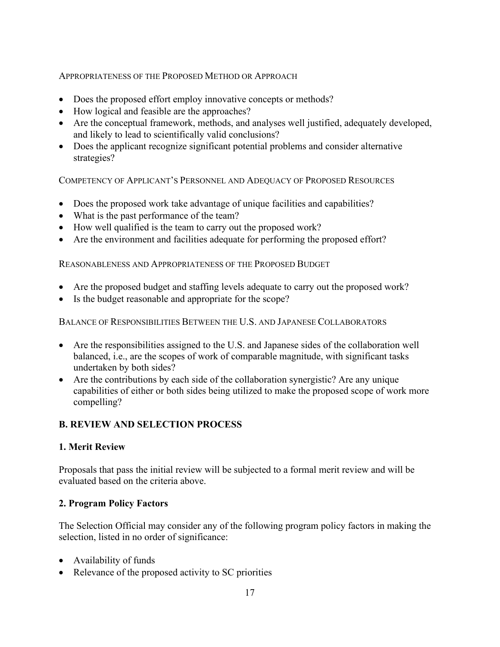## APPROPRIATENESS OF THE PROPOSED METHOD OR APPROACH

- Does the proposed effort employ innovative concepts or methods?
- How logical and feasible are the approaches?
- Are the conceptual framework, methods, and analyses well justified, adequately developed, and likely to lead to scientifically valid conclusions?
- Does the applicant recognize significant potential problems and consider alternative strategies?

COMPETENCY OF APPLICANT'S PERSONNEL AND ADEQUACY OF PROPOSED RESOURCES

- Does the proposed work take advantage of unique facilities and capabilities?
- What is the past performance of the team?
- How well qualified is the team to carry out the proposed work?
- Are the environment and facilities adequate for performing the proposed effort?

REASONABLENESS AND APPROPRIATENESS OF THE PROPOSED BUDGET

- Are the proposed budget and staffing levels adequate to carry out the proposed work?
- Is the budget reasonable and appropriate for the scope?

BALANCE OF RESPONSIBILITIES BETWEEN THE U.S. AND JAPANESE COLLABORATORS

- Are the responsibilities assigned to the U.S. and Japanese sides of the collaboration well balanced, i.e., are the scopes of work of comparable magnitude, with significant tasks undertaken by both sides?
- Are the contributions by each side of the collaboration synergistic? Are any unique capabilities of either or both sides being utilized to make the proposed scope of work more compelling?

## <span id="page-22-0"></span>**B. REVIEW AND SELECTION PROCESS**

## **1. Merit Review**

Proposals that pass the initial review will be subjected to a formal merit review and will be evaluated based on the criteria above.

## **2. Program Policy Factors**

The Selection Official may consider any of the following program policy factors in making the selection, listed in no order of significance:

- Availability of funds
- Relevance of the proposed activity to SC priorities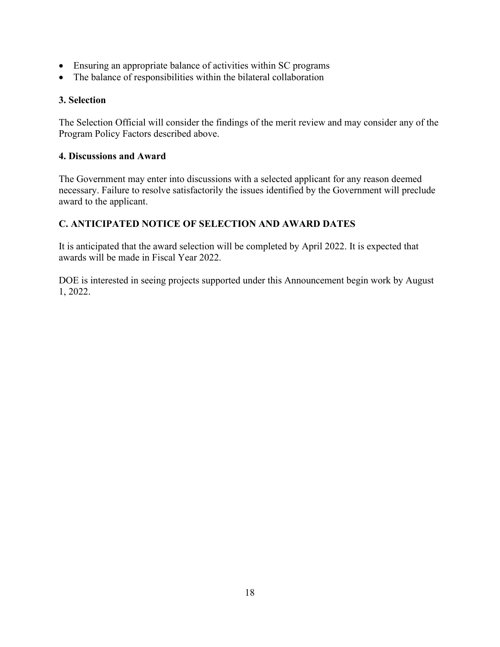- Ensuring an appropriate balance of activities within SC programs
- The balance of responsibilities within the bilateral collaboration

## **3. Selection**

The Selection Official will consider the findings of the merit review and may consider any of the Program Policy Factors described above.

## **4. Discussions and Award**

The Government may enter into discussions with a selected applicant for any reason deemed necessary. Failure to resolve satisfactorily the issues identified by the Government will preclude award to the applicant.

# <span id="page-23-0"></span>**C. ANTICIPATED NOTICE OF SELECTION AND AWARD DATES**

It is anticipated that the award selection will be completed by April 2022. It is expected that awards will be made in Fiscal Year 2022.

DOE is interested in seeing projects supported under this Announcement begin work by August 1, 2022.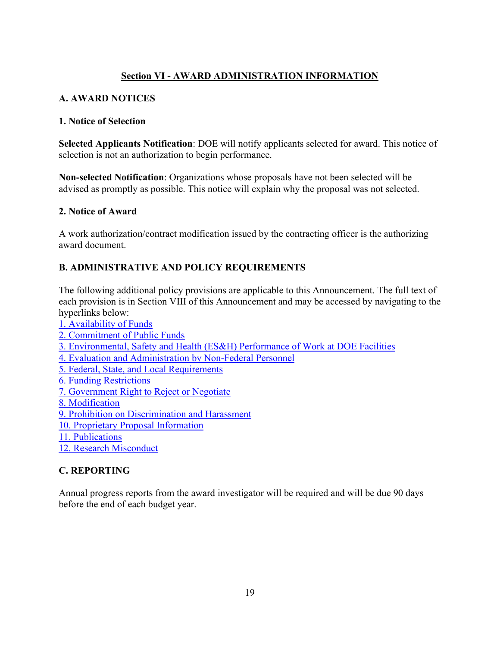# **Section VI - AWARD ADMINISTRATION INFORMATION**

#### <span id="page-24-1"></span><span id="page-24-0"></span>**A. AWARD NOTICES**

#### **1. Notice of Selection**

**Selected Applicants Notification**: DOE will notify applicants selected for award. This notice of selection is not an authorization to begin performance.

**Non-selected Notification**: Organizations whose proposals have not been selected will be advised as promptly as possible. This notice will explain why the proposal was not selected.

#### **2. Notice of Award**

A work authorization/contract modification issued by the contracting officer is the authorizing award document.

#### <span id="page-24-2"></span>**B. ADMINISTRATIVE AND POLICY REQUIREMENTS**

The following additional policy provisions are applicable to this Announcement. The full text of each provision is in Section VIII of this Announcement and may be accessed by navigating to the hyperlinks below:

- [1. Availability of Funds](#page-39-1)
- [2. Commitment of Public Funds](#page-39-2)
- [3. Environmental, Safety and Health \(ES&H\) Performance of Work at DOE Facilities](#page-39-3)
- [4. Evaluation and Administration by Non-Federal Personnel](#page-40-0)
- [5. Federal, State, and Local Requirements](#page-40-1)
- [6. Funding Restrictions](#page-40-2)
- [7. Government Right to Reject or Negotiate](#page-40-3)
- [8. Modification](#page-40-4)
- [9. Prohibition on Discrimination and Harassment](#page-40-5)
- [10. Proprietary Proposal Information](#page-41-0)
- [11. Publications](#page-41-1)
- [12. Research Misconduct](#page-41-2)

#### <span id="page-24-3"></span>**C. REPORTING**

Annual progress reports from the award investigator will be required and will be due 90 days before the end of each budget year.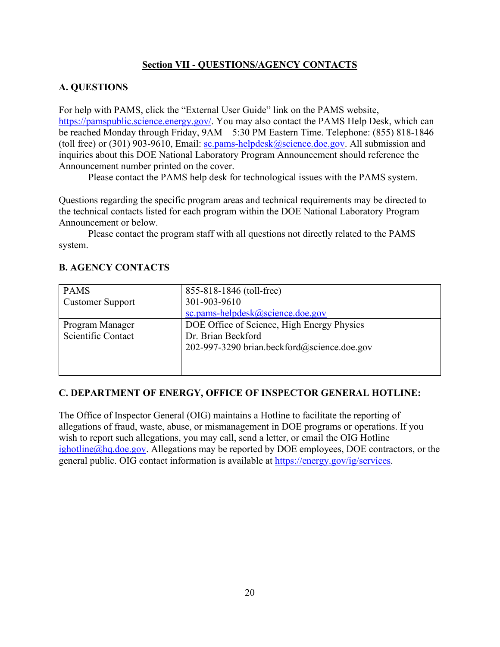## **Section VII - QUESTIONS/AGENCY CONTACTS**

# <span id="page-25-1"></span><span id="page-25-0"></span>**A. QUESTIONS**

For help with PAMS, click the "External User Guide" link on the PAMS website, [https://pamspublic.science.energy.gov/.](https://pamspublic.science.energy.gov/) You may also contact the PAMS Help Desk, which can be reached Monday through Friday, 9AM – 5:30 PM Eastern Time. Telephone: (855) 818-1846 (toll free) or (301) 903-9610, Email: [sc.pams-helpdesk@science.doe.gov.](mailto:sc.pams-helpdesk@science.doe.gov) All submission and inquiries about this DOE National Laboratory Program Announcement should reference the Announcement number printed on the cover.

Please contact the PAMS help desk for technological issues with the PAMS system.

Questions regarding the specific program areas and technical requirements may be directed to the technical contacts listed for each program within the DOE National Laboratory Program Announcement or below.

Please contact the program staff with all questions not directly related to the PAMS system.

| <b>PAMS</b>             | 855-818-1846 (toll-free)                    |
|-------------------------|---------------------------------------------|
| <b>Customer Support</b> | 301-903-9610                                |
|                         | sc.pams-helpdesk@science.doe.gov            |
| Program Manager         | DOE Office of Science, High Energy Physics  |
| Scientific Contact      | Dr. Brian Beckford                          |
|                         | 202-997-3290 brian.beckford@science.doe.gov |
|                         |                                             |
|                         |                                             |

# <span id="page-25-2"></span>**B. AGENCY CONTACTS**

## **C. DEPARTMENT OF ENERGY, OFFICE OF INSPECTOR GENERAL HOTLINE:**

The Office of Inspector General (OIG) maintains a Hotline to facilitate the reporting of allegations of fraud, waste, abuse, or mismanagement in DOE programs or operations. If you wish to report such allegations, you may call, send a letter, or email the OIG Hotline [ighotline@hq.doe.gov.](mailto:ighotline@hq.doe.gov) Allegations may be reported by DOE employees, DOE contractors, or the general public. OIG contact information is available at [https://energy.gov/ig/services.](https://energy.gov/ig/services)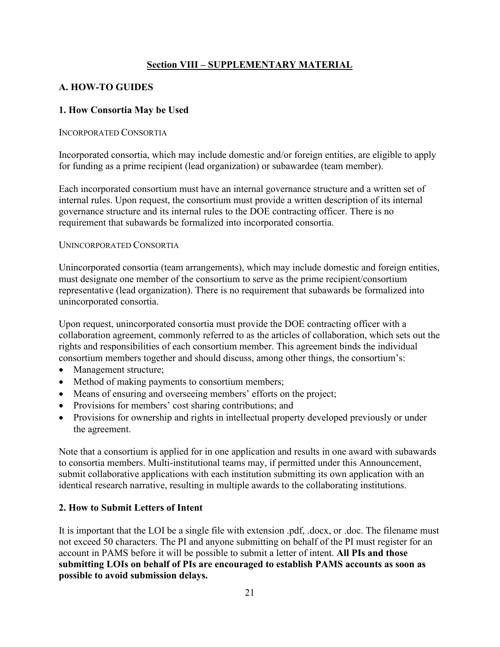## **Section VIII – SUPPLEMENTARY MATERIAL**

# <span id="page-26-1"></span><span id="page-26-0"></span>**A. HOW-TO GUIDES**

## **1. How Consortia May be Used**

#### INCORPORATED CONSORTIA

Incorporated consortia, which may include domestic and/or foreign entities, are eligible to apply for funding as a prime recipient (lead organization) or subawardee (team member).

Each incorporated consortium must have an internal governance structure and a written set of internal rules. Upon request, the consortium must provide a written description of its internal governance structure and its internal rules to the DOE contracting officer. There is no requirement that subawards be formalized into incorporated consortia.

#### UNINCORPORATED CONSORTIA

Unincorporated consortia (team arrangements), which may include domestic and foreign entities, must designate one member of the consortium to serve as the prime recipient/consortium representative (lead organization). There is no requirement that subawards be formalized into unincorporated consortia.

Upon request, unincorporated consortia must provide the DOE contracting officer with a collaboration agreement, commonly referred to as the articles of collaboration, which sets out the rights and responsibilities of each consortium member. This agreement binds the individual consortium members together and should discuss, among other things, the consortium's:

- Management structure;
- Method of making payments to consortium members;
- Means of ensuring and overseeing members' efforts on the project;
- Provisions for members' cost sharing contributions; and
- Provisions for ownership and rights in intellectual property developed previously or under the agreement.

Note that a consortium is applied for in one application and results in one award with subawards to consortia members. Multi-institutional teams may, if permitted under this Announcement, submit collaborative applications with each institution submitting its own application with an identical research narrative, resulting in multiple awards to the collaborating institutions.

#### **2. How to Submit Letters of Intent**

It is important that the LOI be a single file with extension .pdf, .docx, or .doc. The filename must not exceed 50 characters. The PI and anyone submitting on behalf of the PI must register for an account in PAMS before it will be possible to submit a letter of intent. **All PIs and those submitting LOIs on behalf of PIs are encouraged to establish PAMS accounts as soon as possible to avoid submission delays.**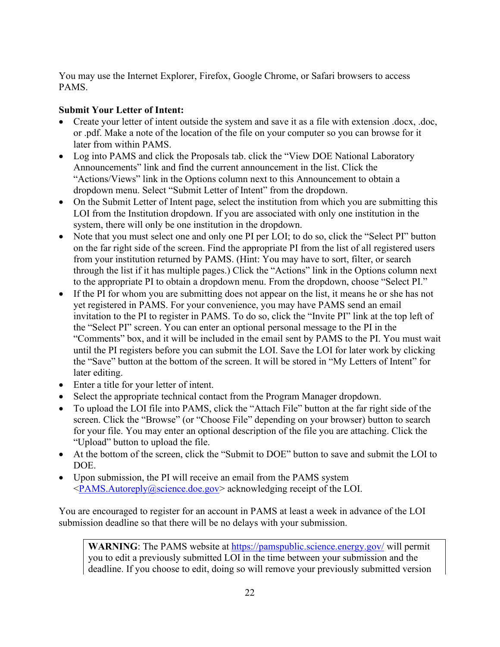You may use the Internet Explorer, Firefox, Google Chrome, or Safari browsers to access PAMS.

# **Submit Your Letter of Intent:**

- Create your letter of intent outside the system and save it as a file with extension .docx, .doc, or .pdf. Make a note of the location of the file on your computer so you can browse for it later from within PAMS.
- Log into PAMS and click the Proposals tab. click the "View DOE National Laboratory" Announcements" link and find the current announcement in the list. Click the "Actions/Views" link in the Options column next to this Announcement to obtain a dropdown menu. Select "Submit Letter of Intent" from the dropdown.
- On the Submit Letter of Intent page, select the institution from which you are submitting this LOI from the Institution dropdown. If you are associated with only one institution in the system, there will only be one institution in the dropdown.
- Note that you must select one and only one PI per LOI; to do so, click the "Select PI" button on the far right side of the screen. Find the appropriate PI from the list of all registered users from your institution returned by PAMS. (Hint: You may have to sort, filter, or search through the list if it has multiple pages.) Click the "Actions" link in the Options column next to the appropriate PI to obtain a dropdown menu. From the dropdown, choose "Select PI."
- If the PI for whom you are submitting does not appear on the list, it means he or she has not yet registered in PAMS. For your convenience, you may have PAMS send an email invitation to the PI to register in PAMS. To do so, click the "Invite PI" link at the top left of the "Select PI" screen. You can enter an optional personal message to the PI in the "Comments" box, and it will be included in the email sent by PAMS to the PI. You must wait until the PI registers before you can submit the LOI. Save the LOI for later work by clicking the "Save" button at the bottom of the screen. It will be stored in "My Letters of Intent" for later editing.
- Enter a title for your letter of intent.
- Select the appropriate technical contact from the Program Manager dropdown.
- To upload the LOI file into PAMS, click the "Attach File" button at the far right side of the screen. Click the "Browse" (or "Choose File" depending on your browser) button to search for your file. You may enter an optional description of the file you are attaching. Click the "Upload" button to upload the file.
- At the bottom of the screen, click the "Submit to DOE" button to save and submit the LOI to DOE.
- Upon submission, the PI will receive an email from the PAMS system [<PAMS.Autoreply@science.doe.gov>](mailto:PAMS.Autoreply@science.doe.gov) acknowledging receipt of the LOI.

You are encouraged to register for an account in PAMS at least a week in advance of the LOI submission deadline so that there will be no delays with your submission.

**WARNING**: The PAMS website at<https://pamspublic.science.energy.gov/> will permit you to edit a previously submitted LOI in the time between your submission and the deadline. If you choose to edit, doing so will remove your previously submitted version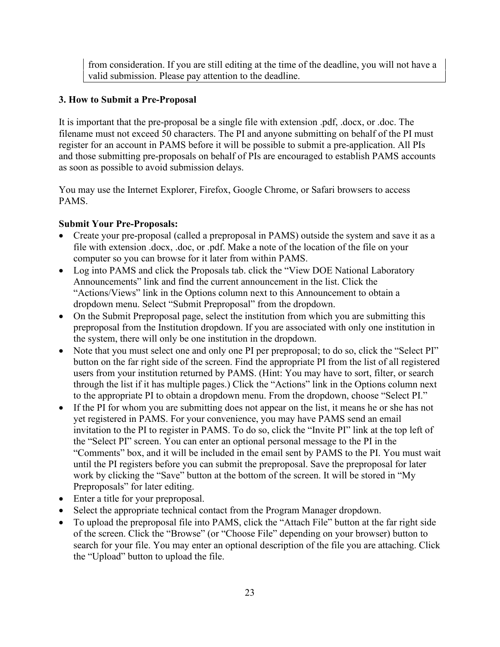from consideration. If you are still editing at the time of the deadline, you will not have a valid submission. Please pay attention to the deadline.

## **3. How to Submit a Pre-Proposal**

It is important that the pre-proposal be a single file with extension .pdf, .docx, or .doc. The filename must not exceed 50 characters. The PI and anyone submitting on behalf of the PI must register for an account in PAMS before it will be possible to submit a pre-application. All PIs and those submitting pre-proposals on behalf of PIs are encouraged to establish PAMS accounts as soon as possible to avoid submission delays.

You may use the Internet Explorer, Firefox, Google Chrome, or Safari browsers to access PAMS.

#### **Submit Your Pre-Proposals:**

- Create your pre-proposal (called a preproposal in PAMS) outside the system and save it as a file with extension .docx, .doc, or .pdf. Make a note of the location of the file on your computer so you can browse for it later from within PAMS.
- Log into PAMS and click the Proposals tab. click the "View DOE National Laboratory" Announcements" link and find the current announcement in the list. Click the "Actions/Views" link in the Options column next to this Announcement to obtain a dropdown menu. Select "Submit Preproposal" from the dropdown.
- On the Submit Preproposal page, select the institution from which you are submitting this preproposal from the Institution dropdown. If you are associated with only one institution in the system, there will only be one institution in the dropdown.
- Note that you must select one and only one PI per preproposal; to do so, click the "Select PI" button on the far right side of the screen. Find the appropriate PI from the list of all registered users from your institution returned by PAMS. (Hint: You may have to sort, filter, or search through the list if it has multiple pages.) Click the "Actions" link in the Options column next to the appropriate PI to obtain a dropdown menu. From the dropdown, choose "Select PI."
- If the PI for whom you are submitting does not appear on the list, it means he or she has not yet registered in PAMS. For your convenience, you may have PAMS send an email invitation to the PI to register in PAMS. To do so, click the "Invite PI" link at the top left of the "Select PI" screen. You can enter an optional personal message to the PI in the "Comments" box, and it will be included in the email sent by PAMS to the PI. You must wait until the PI registers before you can submit the preproposal. Save the preproposal for later work by clicking the "Save" button at the bottom of the screen. It will be stored in "My Preproposals" for later editing.
- Enter a title for your preproposal.
- Select the appropriate technical contact from the Program Manager dropdown.
- To upload the preproposal file into PAMS, click the "Attach File" button at the far right side of the screen. Click the "Browse" (or "Choose File" depending on your browser) button to search for your file. You may enter an optional description of the file you are attaching. Click the "Upload" button to upload the file.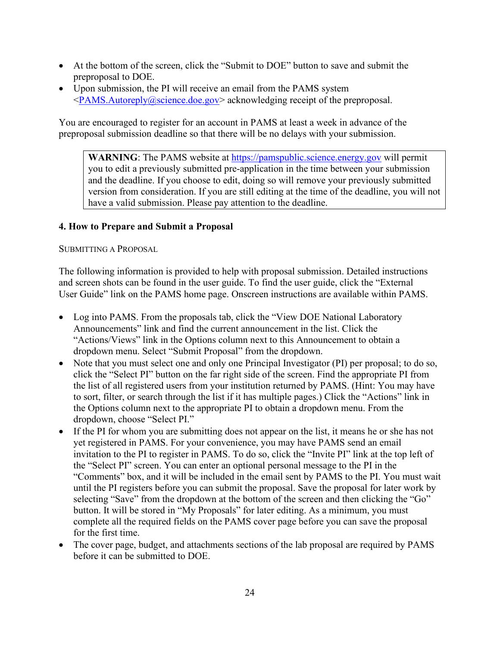- At the bottom of the screen, click the "Submit to DOE" button to save and submit the preproposal to DOE.
- Upon submission, the PI will receive an email from the PAMS system [<PAMS.Autoreply@science.doe.gov>](mailto:PAMS.Autoreply@science.doe.gov) acknowledging receipt of the preproposal.

You are encouraged to register for an account in PAMS at least a week in advance of the preproposal submission deadline so that there will be no delays with your submission.

**WARNING**: The PAMS website at [https://pamspublic.science.energy.gov](https://pamspublic.science.energy.gov/) will permit you to edit a previously submitted pre-application in the time between your submission and the deadline. If you choose to edit, doing so will remove your previously submitted version from consideration. If you are still editing at the time of the deadline, you will not have a valid submission. Please pay attention to the deadline.

## **4. How to Prepare and Submit a Proposal**

#### SUBMITTING A PROPOSAL

The following information is provided to help with proposal submission. Detailed instructions and screen shots can be found in the user guide. To find the user guide, click the "External User Guide" link on the PAMS home page. Onscreen instructions are available within PAMS.

- Log into PAMS. From the proposals tab, click the "View DOE National Laboratory Announcements" link and find the current announcement in the list. Click the "Actions/Views" link in the Options column next to this Announcement to obtain a dropdown menu. Select "Submit Proposal" from the dropdown.
- Note that you must select one and only one Principal Investigator (PI) per proposal; to do so, click the "Select PI" button on the far right side of the screen. Find the appropriate PI from the list of all registered users from your institution returned by PAMS. (Hint: You may have to sort, filter, or search through the list if it has multiple pages.) Click the "Actions" link in the Options column next to the appropriate PI to obtain a dropdown menu. From the dropdown, choose "Select PI."
- If the PI for whom you are submitting does not appear on the list, it means he or she has not yet registered in PAMS. For your convenience, you may have PAMS send an email invitation to the PI to register in PAMS. To do so, click the "Invite PI" link at the top left of the "Select PI" screen. You can enter an optional personal message to the PI in the "Comments" box, and it will be included in the email sent by PAMS to the PI. You must wait until the PI registers before you can submit the proposal. Save the proposal for later work by selecting "Save" from the dropdown at the bottom of the screen and then clicking the "Go" button. It will be stored in "My Proposals" for later editing. As a minimum, you must complete all the required fields on the PAMS cover page before you can save the proposal for the first time.
- The cover page, budget, and attachments sections of the lab proposal are required by PAMS before it can be submitted to DOE.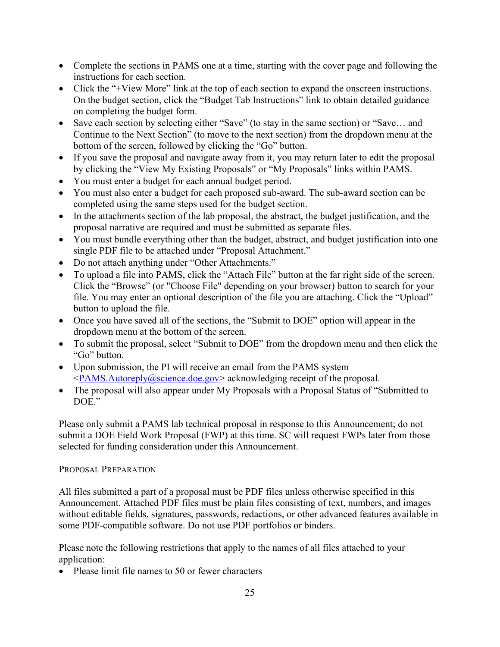- Complete the sections in PAMS one at a time, starting with the cover page and following the instructions for each section.
- Click the "+View More" link at the top of each section to expand the onscreen instructions. On the budget section, click the "Budget Tab Instructions" link to obtain detailed guidance on completing the budget form.
- Save each section by selecting either "Save" (to stay in the same section) or "Save... and Continue to the Next Section" (to move to the next section) from the dropdown menu at the bottom of the screen, followed by clicking the "Go" button.
- If you save the proposal and navigate away from it, you may return later to edit the proposal by clicking the "View My Existing Proposals" or "My Proposals" links within PAMS.
- You must enter a budget for each annual budget period.
- You must also enter a budget for each proposed sub-award. The sub-award section can be completed using the same steps used for the budget section.
- In the attachments section of the lab proposal, the abstract, the budget justification, and the proposal narrative are required and must be submitted as separate files.
- You must bundle everything other than the budget, abstract, and budget justification into one single PDF file to be attached under "Proposal Attachment."
- Do not attach anything under "Other Attachments."
- To upload a file into PAMS, click the "Attach File" button at the far right side of the screen. Click the "Browse" (or "Choose File" depending on your browser) button to search for your file. You may enter an optional description of the file you are attaching. Click the "Upload" button to upload the file.
- Once you have saved all of the sections, the "Submit to DOE" option will appear in the dropdown menu at the bottom of the screen.
- To submit the proposal, select "Submit to DOE" from the dropdown menu and then click the "Go" button.
- Upon submission, the PI will receive an email from the PAMS system  $\langle PAMS. \text{Autoreply} (a) \text{science.} \text{do} \text{e} \text{.} \text{g} \text{.} \text{or}$  acknowledging receipt of the proposal.
- The proposal will also appear under My Proposals with a Proposal Status of "Submitted to DOE."

Please only submit a PAMS lab technical proposal in response to this Announcement; do not submit a DOE Field Work Proposal (FWP) at this time. SC will request FWPs later from those selected for funding consideration under this Announcement.

## PROPOSAL PREPARATION

All files submitted a part of a proposal must be PDF files unless otherwise specified in this Announcement. Attached PDF files must be plain files consisting of text, numbers, and images without editable fields, signatures, passwords, redactions, or other advanced features available in some PDF-compatible software. Do not use PDF portfolios or binders.

Please note the following restrictions that apply to the names of all files attached to your application:

• Please limit file names to 50 or fewer characters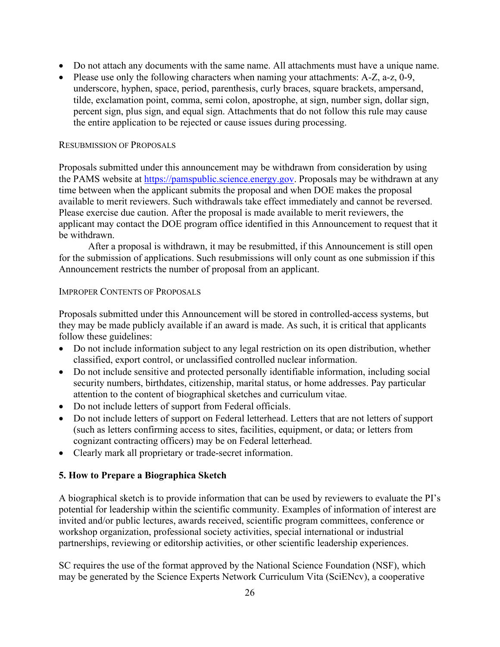- Do not attach any documents with the same name. All attachments must have a unique name.
- Please use only the following characters when naming your attachments: A-Z, a-z, 0-9, underscore, hyphen, space, period, parenthesis, curly braces, square brackets, ampersand, tilde, exclamation point, comma, semi colon, apostrophe, at sign, number sign, dollar sign, percent sign, plus sign, and equal sign. Attachments that do not follow this rule may cause the entire application to be rejected or cause issues during processing.

#### RESUBMISSION OF PROPOSALS

Proposals submitted under this announcement may be withdrawn from consideration by using the PAMS website at [https://pamspublic.science.energy.gov.](https://pamspublic.science.energy.gov/) Proposals may be withdrawn at any time between when the applicant submits the proposal and when DOE makes the proposal available to merit reviewers. Such withdrawals take effect immediately and cannot be reversed. Please exercise due caution. After the proposal is made available to merit reviewers, the applicant may contact the DOE program office identified in this Announcement to request that it be withdrawn.

After a proposal is withdrawn, it may be resubmitted, if this Announcement is still open for the submission of applications. Such resubmissions will only count as one submission if this Announcement restricts the number of proposal from an applicant.

#### IMPROPER CONTENTS OF PROPOSALS

Proposals submitted under this Announcement will be stored in controlled-access systems, but they may be made publicly available if an award is made. As such, it is critical that applicants follow these guidelines:

- Do not include information subject to any legal restriction on its open distribution, whether classified, export control, or unclassified controlled nuclear information.
- Do not include sensitive and protected personally identifiable information, including social security numbers, birthdates, citizenship, marital status, or home addresses. Pay particular attention to the content of biographical sketches and curriculum vitae.
- Do not include letters of support from Federal officials.
- Do not include letters of support on Federal letterhead. Letters that are not letters of support (such as letters confirming access to sites, facilities, equipment, or data; or letters from cognizant contracting officers) may be on Federal letterhead.
- Clearly mark all proprietary or trade-secret information.

#### **5. How to Prepare a Biographica Sketch**

A biographical sketch is to provide information that can be used by reviewers to evaluate the PI's potential for leadership within the scientific community. Examples of information of interest are invited and/or public lectures, awards received, scientific program committees, conference or workshop organization, professional society activities, special international or industrial partnerships, reviewing or editorship activities, or other scientific leadership experiences.

SC requires the use of the format approved by the National Science Foundation (NSF), which may be generated by the Science Experts Network Curriculum Vita (SciENcv), a cooperative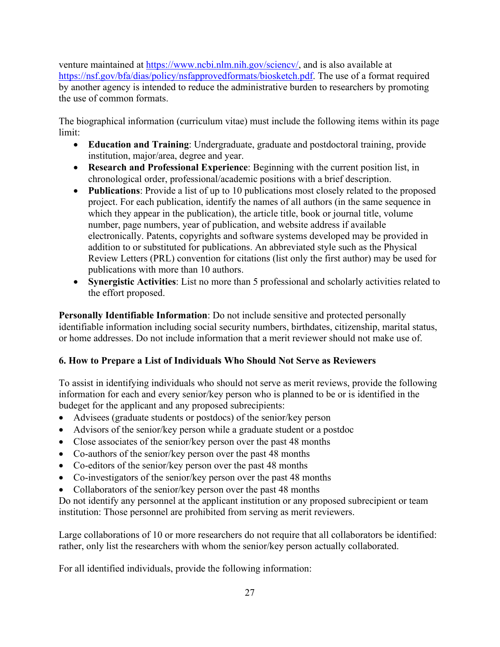venture maintained at https://www.ncbi.nlm.nih.gov/sciency/, and is also available at [https://nsf.gov/bfa/dias/policy/nsfapprovedformats/biosketch.pdf.](https://nsf.gov/bfa/dias/policy/nsfapprovedformats/biosketch.pdf) The use of a format required by another agency is intended to reduce the administrative burden to researchers by promoting the use of common formats.

The biographical information (curriculum vitae) must include the following items within its page limit:

- **Education and Training**: Undergraduate, graduate and postdoctoral training, provide institution, major/area, degree and year.
- **Research and Professional Experience**: Beginning with the current position list, in chronological order, professional/academic positions with a brief description.
- **Publications**: Provide a list of up to 10 publications most closely related to the proposed project. For each publication, identify the names of all authors (in the same sequence in which they appear in the publication), the article title, book or journal title, volume number, page numbers, year of publication, and website address if available electronically. Patents, copyrights and software systems developed may be provided in addition to or substituted for publications. An abbreviated style such as the Physical Review Letters (PRL) convention for citations (list only the first author) may be used for publications with more than 10 authors.
- **Synergistic Activities**: List no more than 5 professional and scholarly activities related to the effort proposed.

**Personally Identifiable Information**: Do not include sensitive and protected personally identifiable information including social security numbers, birthdates, citizenship, marital status, or home addresses. Do not include information that a merit reviewer should not make use of.

# <span id="page-32-0"></span>**6. How to Prepare a List of Individuals Who Should Not Serve as Reviewers**

To assist in identifying individuals who should not serve as merit reviews, provide the following information for each and every senior/key person who is planned to be or is identified in the budeget for the applicant and any proposed subrecipients:

- Advisees (graduate students or postdocs) of the senior/key person
- Advisors of the senior/key person while a graduate student or a postdoc
- Close associates of the senior/key person over the past 48 months
- Co-authors of the senior/key person over the past 48 months
- Co-editors of the senior/key person over the past 48 months
- Co-investigators of the senior/key person over the past 48 months
- Collaborators of the senior/key person over the past 48 months

Do not identify any personnel at the applicant institution or any proposed subrecipient or team institution: Those personnel are prohibited from serving as merit reviewers.

Large collaborations of 10 or more researchers do not require that all collaborators be identified: rather, only list the researchers with whom the senior/key person actually collaborated.

For all identified individuals, provide the following information: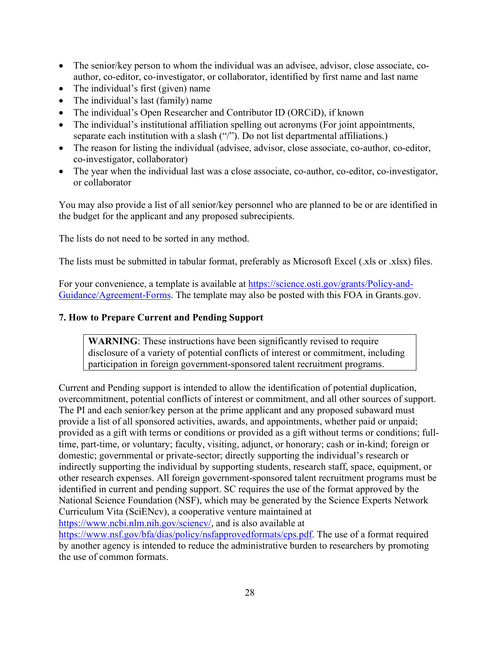- The senior/key person to whom the individual was an advisee, advisor, close associate, coauthor, co-editor, co-investigator, or collaborator, identified by first name and last name
- The individual's first (given) name
- The individual's last (family) name
- The individual's Open Researcher and Contributor ID (ORCiD), if known
- The individual's institutional affiliation spelling out acronyms (For joint appointments, separate each institution with a slash ("/"). Do not list departmental affiliations.)
- The reason for listing the individual (advisee, advisor, close associate, co-author, co-editor, co-investigator, collaborator)
- The year when the individual last was a close associate, co-author, co-editor, co-investigator, or collaborator

You may also provide a list of all senior/key personnel who are planned to be or are identified in the budget for the applicant and any proposed subrecipients.

The lists do not need to be sorted in any method.

The lists must be submitted in tabular format, preferably as Microsoft Excel (.xls or .xlsx) files.

For your convenience, a template is available at [https://science.osti.gov/grants/Policy-and-](https://science.osti.gov/grants/Policy-and-Guidance/Agreement-Forms)[Guidance/Agreement-Forms.](https://science.osti.gov/grants/Policy-and-Guidance/Agreement-Forms) The template may also be posted with this FOA in Grants.gov.

#### **7. How to Prepare Current and Pending Support**

**WARNING**: These instructions have been significantly revised to require disclosure of a variety of potential conflicts of interest or commitment, including participation in foreign government-sponsored talent recruitment programs.

Current and Pending support is intended to allow the identification of potential duplication, overcommitment, potential conflicts of interest or commitment, and all other sources of support. The PI and each senior/key person at the prime applicant and any proposed subaward must provide a list of all sponsored activities, awards, and appointments, whether paid or unpaid; provided as a gift with terms or conditions or provided as a gift without terms or conditions; fulltime, part-time, or voluntary; faculty, visiting, adjunct, or honorary; cash or in-kind; foreign or domestic; governmental or private-sector; directly supporting the individual's research or indirectly supporting the individual by supporting students, research staff, space, equipment, or other research expenses. All foreign government-sponsored talent recruitment programs must be identified in current and pending support. SC requires the use of the format approved by the National Science Foundation (NSF), which may be generated by the Science Experts Network Curriculum Vita (SciENcv), a cooperative venture maintained at [https://www.ncbi.nlm.nih.gov/sciencv/,](https://www.ncbi.nlm.nih.gov/sciencv/) and is also available at

[https://www.nsf.gov/bfa/dias/policy/nsfapprovedformats/cps.pdf.](https://www.nsf.gov/bfa/dias/policy/nsfapprovedformats/cps.pdf) The use of a format required by another agency is intended to reduce the administrative burden to researchers by promoting the use of common formats.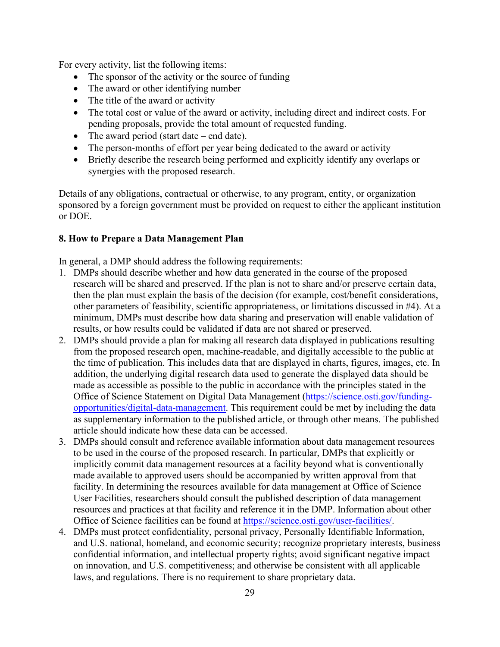For every activity, list the following items:

- The sponsor of the activity or the source of funding
- The award or other identifying number
- The title of the award or activity
- The total cost or value of the award or activity, including direct and indirect costs. For pending proposals, provide the total amount of requested funding.
- The award period (start date end date).
- The person-months of effort per year being dedicated to the award or activity
- Briefly describe the research being performed and explicitly identify any overlaps or synergies with the proposed research.

Details of any obligations, contractual or otherwise, to any program, entity, or organization sponsored by a foreign government must be provided on request to either the applicant institution or DOE.

#### **8. How to Prepare a Data Management Plan**

In general, a DMP should address the following requirements:

- 1. DMPs should describe whether and how data generated in the course of the proposed research will be [shared](https://cms1.sc.osti.gov/funding-opportunities/digital-data-management/#Sharing) and [preserved.](https://cms1.sc.osti.gov/funding-opportunities/digital-data-management/#Preservation) If the plan is not to share and/or preserve certain data, then the plan must explain the basis of the decision (for example, cost/benefit considerations, other parameters of feasibility, scientific appropriateness, or limitations discussed in #4). At a minimum, DMPs must describe how data sharing and preservation will enable [validation](https://cms1.sc.osti.gov/funding-opportunities/digital-data-management/#Validate) of results, or how results could be validated if data are not shared or preserved.
- 2. DMPs should provide a plan for making all research data displayed in publications resulting from the proposed research open, machine-readable, and digitally accessible to the public at the time of publication. This includes data that are displayed in charts, figures, images, etc. In addition, the underlying digital research data used to generate the displayed data should be made as accessible as possible to the public in accordance with the principles stated in the Office of Science Statement on Digital Data Management [\(https://science.osti.gov/funding](https://science.osti.gov/funding-opportunities/digital-data-management)[opportunities/digital-data-management.](https://science.osti.gov/funding-opportunities/digital-data-management) This requirement could be met by including the data as supplementary information to the published article, or through other means. The published article should indicate how these data can be accessed.
- 3. DMPs should consult and reference available information about data management resources to be used in the course of the proposed research. In particular, DMPs that explicitly or implicitly commit data management resources at a facility beyond what is conventionally made available to approved users should be accompanied by written approval from that facility. In determining the resources available for data management at Office of Science User Facilities, researchers should consult the published description of data management resources and practices at that facility and reference it in the DMP. Information about other Office of Science facilities can be found at [https://science.osti.gov/user-facilities/.](https://science.osti.gov/user-facilities/)
- 4. DMPs must protect confidentiality, personal privacy, [Personally Identifiable Information,](https://cms1.sc.osti.gov/funding-opportunities/digital-data-management/faqs/#HSRFAQ) and U.S. national, homeland, and economic security; recognize proprietary interests, business confidential information, and intellectual property rights; avoid significant negative impact on innovation, and U.S. competitiveness; and otherwise be consistent with all applicable laws, and regulations. There is no requirement to share proprietary data.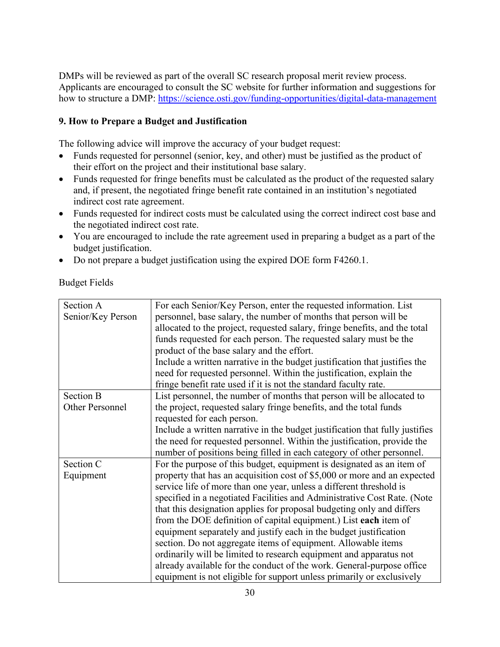DMPs will be reviewed as part of the overall SC research proposal merit review process. Applicants are encouraged to consult the SC website for further information and suggestions for how to structure a DMP:<https://science.osti.gov/funding-opportunities/digital-data-management>

## **9. How to Prepare a Budget and Justification**

The following advice will improve the accuracy of your budget request:

- Funds requested for personnel (senior, key, and other) must be justified as the product of their effort on the project and their institutional base salary.
- Funds requested for fringe benefits must be calculated as the product of the requested salary and, if present, the negotiated fringe benefit rate contained in an institution's negotiated indirect cost rate agreement.
- Funds requested for indirect costs must be calculated using the correct indirect cost base and the negotiated indirect cost rate.
- You are encouraged to include the rate agreement used in preparing a budget as a part of the budget justification.
- Do not prepare a budget justification using the expired DOE form F4260.1.

Budget Fields

| Section A         | For each Senior/Key Person, enter the requested information. List            |  |
|-------------------|------------------------------------------------------------------------------|--|
| Senior/Key Person | personnel, base salary, the number of months that person will be             |  |
|                   | allocated to the project, requested salary, fringe benefits, and the total   |  |
|                   | funds requested for each person. The requested salary must be the            |  |
|                   | product of the base salary and the effort.                                   |  |
|                   | Include a written narrative in the budget justification that justifies the   |  |
|                   | need for requested personnel. Within the justification, explain the          |  |
|                   | fringe benefit rate used if it is not the standard faculty rate.             |  |
| <b>Section B</b>  | List personnel, the number of months that person will be allocated to        |  |
| Other Personnel   | the project, requested salary fringe benefits, and the total funds           |  |
|                   | requested for each person.                                                   |  |
|                   | Include a written narrative in the budget justification that fully justifies |  |
|                   | the need for requested personnel. Within the justification, provide the      |  |
|                   | number of positions being filled in each category of other personnel.        |  |
| Section C         | For the purpose of this budget, equipment is designated as an item of        |  |
| Equipment         | property that has an acquisition cost of \$5,000 or more and an expected     |  |
|                   | service life of more than one year, unless a different threshold is          |  |
|                   | specified in a negotiated Facilities and Administrative Cost Rate. (Note     |  |
|                   | that this designation applies for proposal budgeting only and differs        |  |
|                   | from the DOE definition of capital equipment.) List each item of             |  |
|                   | equipment separately and justify each in the budget justification            |  |
|                   | section. Do not aggregate items of equipment. Allowable items                |  |
|                   | ordinarily will be limited to research equipment and apparatus not           |  |
|                   | already available for the conduct of the work. General-purpose office        |  |
|                   | equipment is not eligible for support unless primarily or exclusively        |  |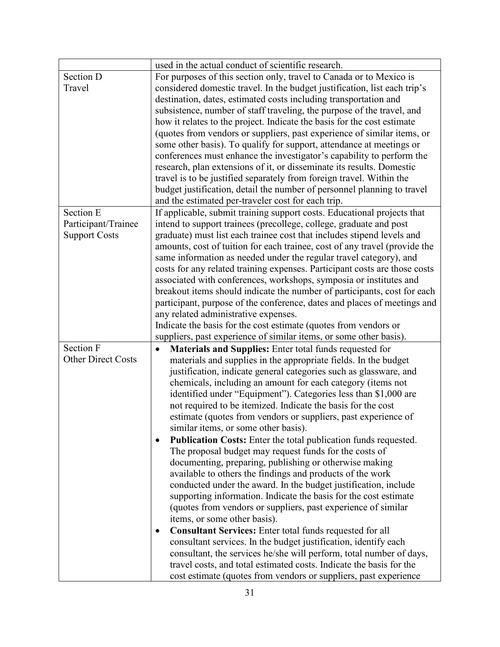| used in the actual conduct of scientific research.                         |
|----------------------------------------------------------------------------|
| For purposes of this section only, travel to Canada or to Mexico is        |
| considered domestic travel. In the budget justification, list each trip's  |
| destination, dates, estimated costs including transportation and           |
| subsistence, number of staff traveling, the purpose of the travel, and     |
| how it relates to the project. Indicate the basis for the cost estimate    |
| (quotes from vendors or suppliers, past experience of similar items, or    |
| some other basis). To qualify for support, attendance at meetings or       |
| conferences must enhance the investigator's capability to perform the      |
| research, plan extensions of it, or disseminate its results. Domestic      |
| travel is to be justified separately from foreign travel. Within the       |
| budget justification, detail the number of personnel planning to travel    |
| and the estimated per-traveler cost for each trip.                         |
| If applicable, submit training support costs. Educational projects that    |
| intend to support trainees (precollege, college, graduate and post         |
| graduate) must list each trainee cost that includes stipend levels and     |
| amounts, cost of tuition for each trainee, cost of any travel (provide the |
| same information as needed under the regular travel category), and         |
| costs for any related training expenses. Participant costs are those costs |
| associated with conferences, workshops, symposia or institutes and         |
| breakout items should indicate the number of participants, cost for each   |
| participant, purpose of the conference, dates and places of meetings and   |
| any related administrative expenses.                                       |
| Indicate the basis for the cost estimate (quotes from vendors or           |
| suppliers, past experience of similar items, or some other basis).         |
| Materials and Supplies: Enter total funds requested for                    |
| materials and supplies in the appropriate fields. In the budget            |
| justification, indicate general categories such as glassware, and          |
| chemicals, including an amount for each category (items not                |
| identified under "Equipment"). Categories less than \$1,000 are            |
| not required to be itemized. Indicate the basis for the cost               |
| estimate (quotes from vendors or suppliers, past experience of             |
| similar items, or some other basis).                                       |
| <b>Publication Costs:</b> Enter the total publication funds requested.     |
| The proposal budget may request funds for the costs of                     |
| documenting, preparing, publishing or otherwise making                     |
| available to others the findings and products of the work                  |
| conducted under the award. In the budget justification, include            |
| supporting information. Indicate the basis for the cost estimate           |
| (quotes from vendors or suppliers, past experience of similar              |
| items, or some other basis).                                               |
| <b>Consultant Services:</b> Enter total funds requested for all            |
| consultant services. In the budget justification, identify each            |
| consultant, the services he/she will perform, total number of days,        |
| travel costs, and total estimated costs. Indicate the basis for the        |
| cost estimate (quotes from vendors or suppliers, past experience           |
|                                                                            |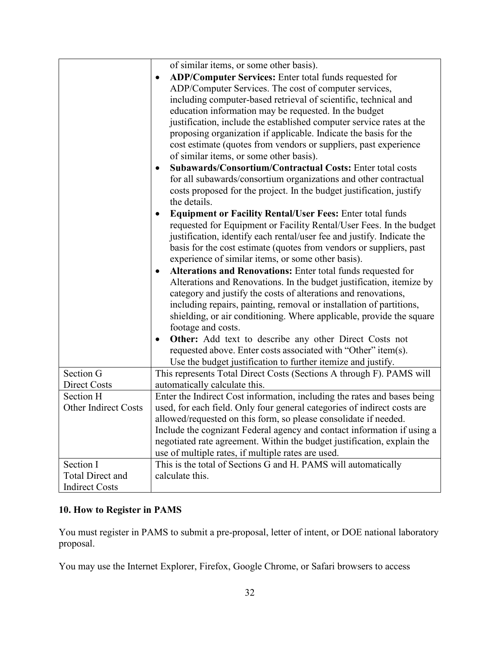|                             | of similar items, or some other basis).                                   |
|-----------------------------|---------------------------------------------------------------------------|
|                             | ADP/Computer Services: Enter total funds requested for                    |
|                             |                                                                           |
|                             | ADP/Computer Services. The cost of computer services,                     |
|                             | including computer-based retrieval of scientific, technical and           |
|                             | education information may be requested. In the budget                     |
|                             | justification, include the established computer service rates at the      |
|                             | proposing organization if applicable. Indicate the basis for the          |
|                             | cost estimate (quotes from vendors or suppliers, past experience          |
|                             | of similar items, or some other basis).                                   |
|                             | Subawards/Consortium/Contractual Costs: Enter total costs<br>$\bullet$    |
|                             | for all subawards/consortium organizations and other contractual          |
|                             | costs proposed for the project. In the budget justification, justify      |
|                             | the details.                                                              |
|                             | <b>Equipment or Facility Rental/User Fees: Enter total funds</b>          |
|                             | requested for Equipment or Facility Rental/User Fees. In the budget       |
|                             | justification, identify each rental/user fee and justify. Indicate the    |
|                             | basis for the cost estimate (quotes from vendors or suppliers, past       |
|                             | experience of similar items, or some other basis).                        |
|                             |                                                                           |
|                             | Alterations and Renovations: Enter total funds requested for<br>$\bullet$ |
|                             | Alterations and Renovations. In the budget justification, itemize by      |
|                             | category and justify the costs of alterations and renovations,            |
|                             | including repairs, painting, removal or installation of partitions,       |
|                             | shielding, or air conditioning. Where applicable, provide the square      |
|                             | footage and costs.                                                        |
|                             | Other: Add text to describe any other Direct Costs not<br>$\bullet$       |
|                             | requested above. Enter costs associated with "Other" item(s).             |
|                             | Use the budget justification to further itemize and justify.              |
| Section G                   | This represents Total Direct Costs (Sections A through F). PAMS will      |
| Direct Costs                | automatically calculate this.                                             |
| Section H                   | Enter the Indirect Cost information, including the rates and bases being  |
| <b>Other Indirect Costs</b> | used, for each field. Only four general categories of indirect costs are  |
|                             | allowed/requested on this form, so please consolidate if needed.          |
|                             | Include the cognizant Federal agency and contact information if using a   |
|                             | negotiated rate agreement. Within the budget justification, explain the   |
|                             | use of multiple rates, if multiple rates are used.                        |
| Section I                   | This is the total of Sections G and H. PAMS will automatically            |
| <b>Total Direct and</b>     | calculate this.                                                           |
| <b>Indirect Costs</b>       |                                                                           |

# **10. How to Register in PAMS**

You must register in PAMS to submit a pre-proposal, letter of intent, or DOE national laboratory proposal.

You may use the Internet Explorer, Firefox, Google Chrome, or Safari browsers to access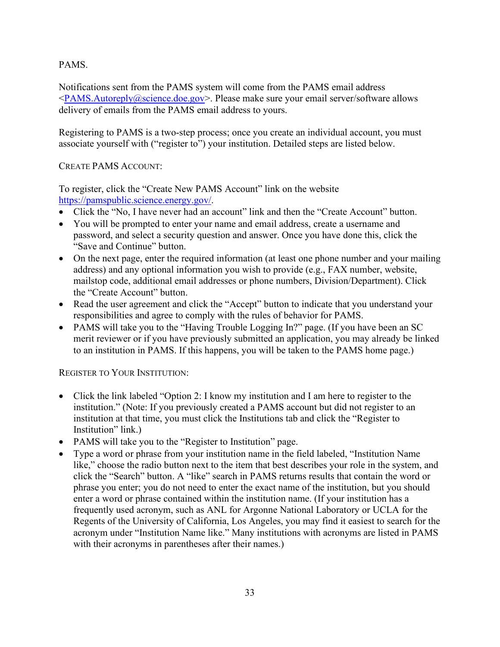## PAMS.

Notifications sent from the PAMS system will come from the PAMS email address  $\langle$ PAMS.Autoreply@science.doe.gov>. Please make sure your email server/software allows delivery of emails from the PAMS email address to yours.

Registering to PAMS is a two-step process; once you create an individual account, you must associate yourself with ("register to") your institution. Detailed steps are listed below.

#### CREATE PAMS ACCOUNT:

To register, click the "Create New PAMS Account" link on the website [https://pamspublic.science.energy.gov/.](https://pamspublic.science.energy.gov/)

- Click the "No, I have never had an account" link and then the "Create Account" button.
- You will be prompted to enter your name and email address, create a username and password, and select a security question and answer. Once you have done this, click the "Save and Continue" button.
- On the next page, enter the required information (at least one phone number and your mailing address) and any optional information you wish to provide (e.g., FAX number, website, mailstop code, additional email addresses or phone numbers, Division/Department). Click the "Create Account" button.
- Read the user agreement and click the "Accept" button to indicate that you understand your responsibilities and agree to comply with the rules of behavior for PAMS.
- PAMS will take you to the "Having Trouble Logging In?" page. (If you have been an SC merit reviewer or if you have previously submitted an application, you may already be linked to an institution in PAMS. If this happens, you will be taken to the PAMS home page.)

## REGISTER TO YOUR INSTITUTION:

- Click the link labeled "Option 2: I know my institution and I am here to register to the institution." (Note: If you previously created a PAMS account but did not register to an institution at that time, you must click the Institutions tab and click the "Register to Institution" link.)
- PAMS will take you to the "Register to Institution" page.
- Type a word or phrase from your institution name in the field labeled, "Institution Name like," choose the radio button next to the item that best describes your role in the system, and click the "Search" button. A "like" search in PAMS returns results that contain the word or phrase you enter; you do not need to enter the exact name of the institution, but you should enter a word or phrase contained within the institution name. (If your institution has a frequently used acronym, such as ANL for Argonne National Laboratory or UCLA for the Regents of the University of California, Los Angeles, you may find it easiest to search for the acronym under "Institution Name like." Many institutions with acronyms are listed in PAMS with their acronyms in parentheses after their names.)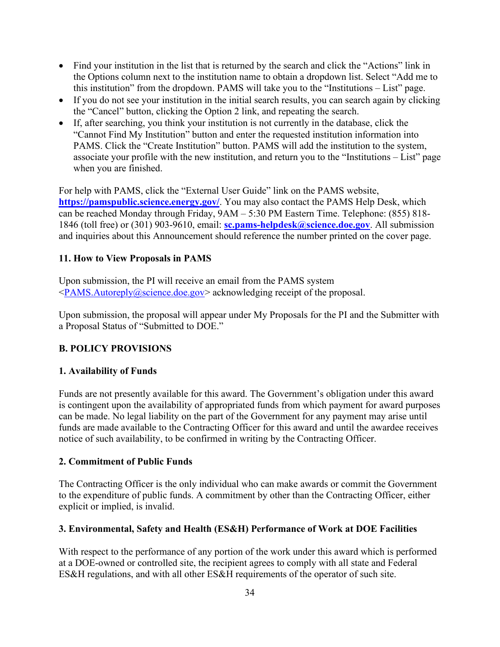- Find your institution in the list that is returned by the search and click the "Actions" link in the Options column next to the institution name to obtain a dropdown list. Select "Add me to this institution" from the dropdown. PAMS will take you to the "Institutions – List" page.
- If you do not see your institution in the initial search results, you can search again by clicking the "Cancel" button, clicking the Option 2 link, and repeating the search.
- If, after searching, you think your institution is not currently in the database, click the "Cannot Find My Institution" button and enter the requested institution information into PAMS. Click the "Create Institution" button. PAMS will add the institution to the system, associate your profile with the new institution, and return you to the "Institutions – List" page when you are finished.

For help with PAMS, click the "External User Guide" link on the PAMS website, **<https://pamspublic.science.energy.gov/>**. You may also contact the PAMS Help Desk, which can be reached Monday through Friday, 9AM – 5:30 PM Eastern Time. Telephone: (855) 818- 1846 (toll free) or (301) 903-9610, email: **[sc.pams-helpdesk@science.doe.gov](mailto:sc.pams-helpdesk@science.doe.gov)**. All submission and inquiries about this Announcement should reference the number printed on the cover page.

#### **11. How to View Proposals in PAMS**

Upon submission, the PI will receive an email from the PAMS system [<PAMS.Autoreply@science.doe.gov>](file://scnas5p.sc.science.doe.gov/blevili/My%20Documents/_Daily%20Business/_SC-2/_Early%20Career%20Research%20Program/FY2014/Solicitations/PAMS.Autoreply@science.doe.gov) acknowledging receipt of the proposal.

Upon submission, the proposal will appear under My Proposals for the PI and the Submitter with a Proposal Status of "Submitted to DOE."

## <span id="page-39-0"></span>**B. POLICY PROVISIONS**

#### <span id="page-39-1"></span>**1. Availability of Funds**

Funds are not presently available for this award. The Government's obligation under this award is contingent upon the availability of appropriated funds from which payment for award purposes can be made. No legal liability on the part of the Government for any payment may arise until funds are made available to the Contracting Officer for this award and until the awardee receives notice of such availability, to be confirmed in writing by the Contracting Officer.

#### <span id="page-39-2"></span>**2. Commitment of Public Funds**

The Contracting Officer is the only individual who can make awards or commit the Government to the expenditure of public funds. A commitment by other than the Contracting Officer, either explicit or implied, is invalid.

#### <span id="page-39-3"></span>**3. Environmental, Safety and Health (ES&H) Performance of Work at DOE Facilities**

With respect to the performance of any portion of the work under this award which is performed at a DOE-owned or controlled site, the recipient agrees to comply with all state and Federal ES&H regulations, and with all other ES&H requirements of the operator of such site.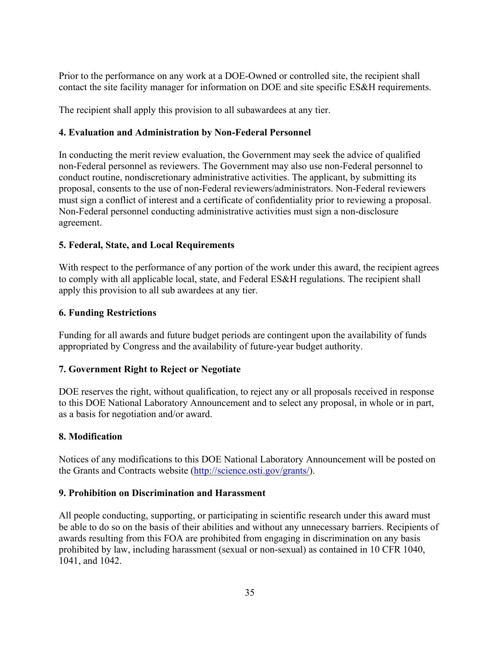Prior to the performance on any work at a DOE-Owned or controlled site, the recipient shall contact the site facility manager for information on DOE and site specific ES&H requirements.

The recipient shall apply this provision to all subawardees at any tier.

#### <span id="page-40-0"></span>**4. Evaluation and Administration by Non-Federal Personnel**

In conducting the merit review evaluation, the Government may seek the advice of qualified non-Federal personnel as reviewers. The Government may also use non-Federal personnel to conduct routine, nondiscretionary administrative activities. The applicant, by submitting its proposal, consents to the use of non-Federal reviewers/administrators. Non-Federal reviewers must sign a conflict of interest and a certificate of confidentiality prior to reviewing a proposal. Non-Federal personnel conducting administrative activities must sign a non-disclosure agreement.

## <span id="page-40-1"></span>**5. Federal, State, and Local Requirements**

With respect to the performance of any portion of the work under this award, the recipient agrees to comply with all applicable local, state, and Federal ES&H regulations. The recipient shall apply this provision to all sub awardees at any tier.

#### <span id="page-40-2"></span>**6. Funding Restrictions**

Funding for all awards and future budget periods are contingent upon the availability of funds appropriated by Congress and the availability of future-year budget authority.

## <span id="page-40-3"></span>**7. Government Right to Reject or Negotiate**

DOE reserves the right, without qualification, to reject any or all proposals received in response to this DOE National Laboratory Announcement and to select any proposal, in whole or in part, as a basis for negotiation and/or award.

#### <span id="page-40-4"></span>**8. Modification**

Notices of any modifications to this DOE National Laboratory Announcement will be posted on the Grants and Contracts website [\(http://science.osti.gov/grants/\)](http://science.osti.gov/grants/).

#### <span id="page-40-5"></span>**9. Prohibition on Discrimination and Harassment**

All people conducting, supporting, or participating in scientific research under this award must be able to do so on the basis of their abilities and without any unnecessary barriers. Recipients of awards resulting from this FOA are prohibited from engaging in discrimination on any basis prohibited by law, including harassment (sexual or non-sexual) as contained in 10 CFR 1040, 1041, and 1042.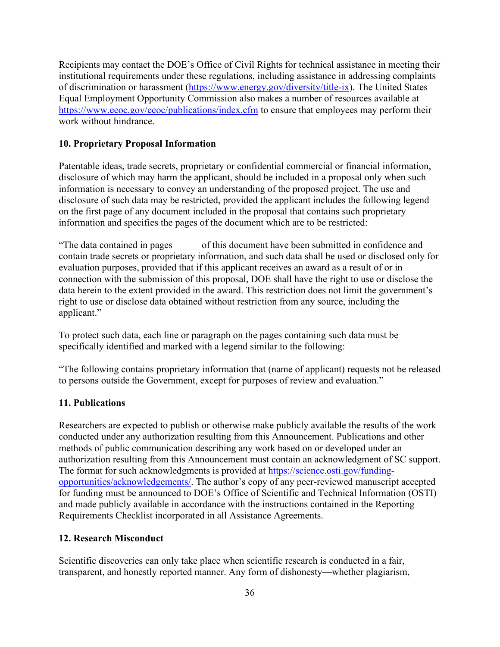Recipients may contact the DOE's Office of Civil Rights for technical assistance in meeting their institutional requirements under these regulations, including assistance in addressing complaints of discrimination or harassment [\(https://www.energy.gov/diversity/title-ix\)](https://www.energy.gov/diversity/title-ix). The United States Equal Employment Opportunity Commission also makes a number of resources available at <https://www.eeoc.gov/eeoc/publications/index.cfm> to ensure that employees may perform their work without hindrance.

#### <span id="page-41-0"></span>**10. Proprietary Proposal Information**

Patentable ideas, trade secrets, proprietary or confidential commercial or financial information, disclosure of which may harm the applicant, should be included in a proposal only when such information is necessary to convey an understanding of the proposed project. The use and disclosure of such data may be restricted, provided the applicant includes the following legend on the first page of any document included in the proposal that contains such proprietary information and specifies the pages of the document which are to be restricted:

"The data contained in pages \_\_\_\_\_ of this document have been submitted in confidence and contain trade secrets or proprietary information, and such data shall be used or disclosed only for evaluation purposes, provided that if this applicant receives an award as a result of or in connection with the submission of this proposal, DOE shall have the right to use or disclose the data herein to the extent provided in the award. This restriction does not limit the government's right to use or disclose data obtained without restriction from any source, including the applicant."

To protect such data, each line or paragraph on the pages containing such data must be specifically identified and marked with a legend similar to the following:

"The following contains proprietary information that (name of applicant) requests not be released to persons outside the Government, except for purposes of review and evaluation."

#### <span id="page-41-1"></span>**11. Publications**

Researchers are expected to publish or otherwise make publicly available the results of the work conducted under any authorization resulting from this Announcement. Publications and other methods of public communication describing any work based on or developed under an authorization resulting from this Announcement must contain an acknowledgment of SC support. The format for such acknowledgments is provided at [https://science.osti.gov/funding](https://science.osti.gov/funding-opportunities/acknowledgements/)[opportunities/acknowledgements/.](https://science.osti.gov/funding-opportunities/acknowledgements/) The author's copy of any peer-reviewed manuscript accepted for funding must be announced to DOE's Office of Scientific and Technical Information (OSTI) and made publicly available in accordance with the instructions contained in the Reporting Requirements Checklist incorporated in all Assistance Agreements.

#### <span id="page-41-2"></span>**12. Research Misconduct**

Scientific discoveries can only take place when scientific research is conducted in a fair, transparent, and honestly reported manner. Any form of dishonesty—whether plagiarism,